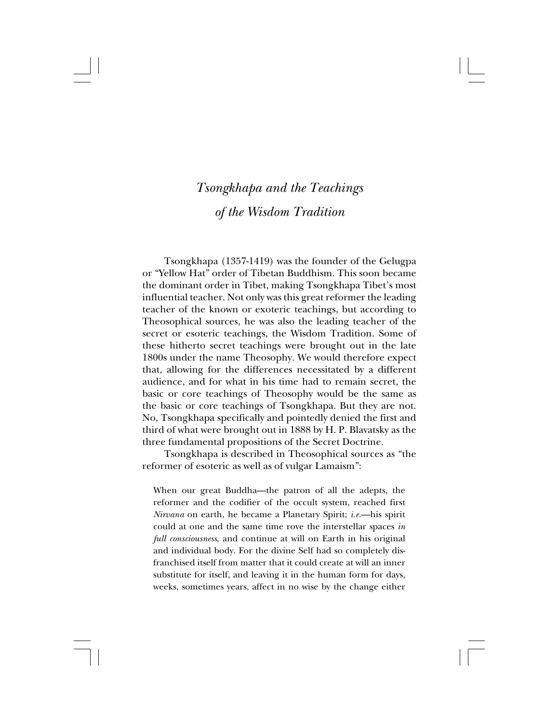Tsongkhapa (1357-1419) was the founder of the Gelugpa or "Yellow Hat" order of Tibetan Buddhism. This soon became the dominant order in Tibet, making Tsongkhapa Tibet's most influential teacher. Not only was this great reformer the leading teacher of the known or exoteric teachings, but according to Theosophical sources, he was also the leading teacher of the secret or esoteric teachings, the Wisdom Tradition. Some of these hitherto secret teachings were brought out in the late 1800s under the name Theosophy. We would therefore expect that, allowing for the differences necessitated by a different audience, and for what in his time had to remain secret, the basic or core teachings of Theosophy would be the same as the basic or core teachings of Tsongkhapa. But they are not. No, Tsongkhapa specifically and pointedly denied the first and third of what were brought out in 1888 by H. P. Blavatsky as the three fundamental propositions of the Secret Doctrine.

Tsongkhapa is described in Theosophical sources as "the reformer of esoteric as well as of vulgar Lamaism":

When our great Buddha—the patron of all the adepts, the reformer and the codifier of the occult system, reached first *Nirvana* on earth, he became a Planetary Spirit; *i.e.*—his spirit could at one and the same time rove the interstellar spaces *in full consciousness*, and continue at will on Earth in his original and individual body. For the divine Self had so completely disfranchised itself from matter that it could create at will an inner substitute for itself, and leaving it in the human form for days, weeks, sometimes years, affect in no wise by the change either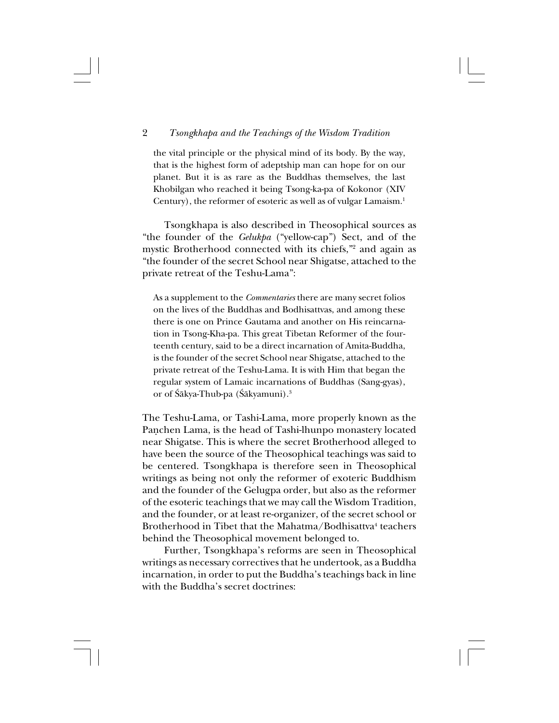the vital principle or the physical mind of its body. By the way, that is the highest form of adeptship man can hope for on our planet. But it is as rare as the Buddhas themselves, the last Khobilgan who reached it being Tsong-ka-pa of Kokonor (XIV Century), the reformer of esoteric as well as of vulgar Lamaism.<sup>1</sup>

Tsongkhapa is also described in Theosophical sources as "the founder of the *Gelukpa* ("yellow-cap") Sect, and of the mystic Brotherhood connected with its chiefs,"2 and again as "the founder of the secret School near Shigatse, attached to the private retreat of the Teshu-Lama":

As a supplement to the *Commentaries* there are many secret folios on the lives of the Buddhas and Bodhisattvas, and among these there is one on Prince Gautama and another on His reincarnation in Tsong-Kha-pa. This great Tibetan Reformer of the fourteenth century, said to be a direct incarnation of Amita-Buddha, is the founder of the secret School near Shigatse, attached to the private retreat of the Teshu-Lama. It is with Him that began the regular system of Lamaic incarnations of Buddhas (Sang-gyas), or of Śākya-Thub-pa (Śākyamuni).<sup>3</sup>

The Teshu-Lama, or Tashi-Lama, more properly known as the Pañchen Lama, is the head of Tashi-lhunpo monastery located near Shigatse. This is where the secret Brotherhood alleged to have been the source of the Theosophical teachings was said to be centered. Tsongkhapa is therefore seen in Theosophical writings as being not only the reformer of exoteric Buddhism and the founder of the Gelugpa order, but also as the reformer of the esoteric teachings that we may call the Wisdom Tradition, and the founder, or at least re-organizer, of the secret school or Brotherhood in Tibet that the Mahatma/Bodhisattva<sup>4</sup> teachers behind the Theosophical movement belonged to.

Further, Tsongkhapa's reforms are seen in Theosophical writings as necessary correctives that he undertook, as a Buddha incarnation, in order to put the Buddha's teachings back in line with the Buddha's secret doctrines: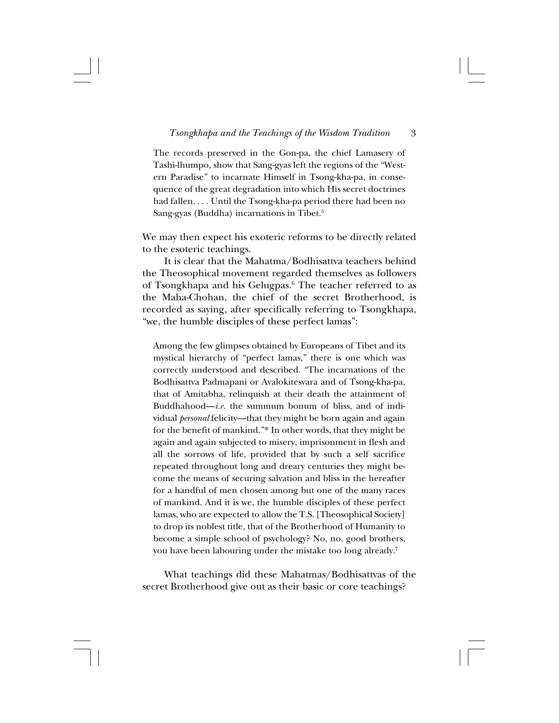The records preserved in the Gon-pa, the chief Lamasery of Tashi-lhumpo, show that Sang-gyas left the regions of the "Western Paradise" to incarnate Himself in Tsong-kha-pa, in consequence of the great degradation into which His secret doctrines had fallen. . . . Until the Tsong-kha-pa period there had been no Sang-gyas (Buddha) incarnations in Tibet.<sup>5</sup>

We may then expect his exoteric reforms to be directly related to the esoteric teachings.

It is clear that the Mahatma/Bodhisattva teachers behind the Theosophical movement regarded themselves as followers of Tsongkhapa and his Gelugpas.<sup>6</sup> The teacher referred to as the Maha-Chohan, the chief of the secret Brotherhood, is recorded as saying, after specifically referring to Tsongkhapa, "we, the humble disciples of these perfect lamas":

Among the few glimpses obtained by Europeans of Tibet and its mystical hierarchy of "perfect lamas," there is one which was correctly understood and described. "The incarnations of the Bodhisattva Padmapani or Avalokitesvara and of Tsong-kha-pa, that of Amitabha, relinquish at their death the attainment of Buddhahood—*i.e.* the summum bonum of bliss, and of individual *personal* felicity—that they might be born again and again for the benefit of mankind."\* In other words, that they might be again and again subjected to misery, imprisonment in flesh and all the sorrows of life, provided that by such a self sacrifice repeated throughout long and dreary centuries they might become the means of securing salvation and bliss in the hereafter for a handful of men chosen among but one of the many races of mankind. And it is we, the humble disciples of these perfect lamas, who are expected to allow the T.S. [Theosophical Society] to drop its noblest title, that of the Brotherhood of Humanity to become a simple school of psychology? No, no, good brothers, you have been labouring under the mistake too long already.7

What teachings did these Mahatmas/Bodhisattvas of the secret Brotherhood give out as their basic or core teachings?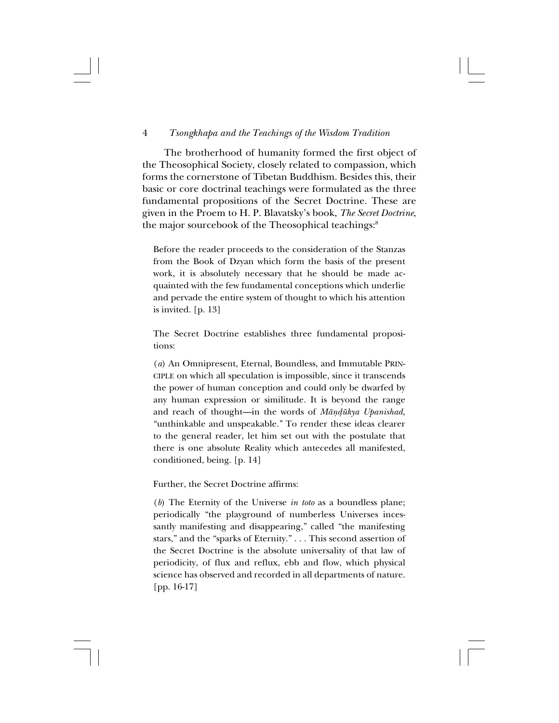The brotherhood of humanity formed the first object of the Theosophical Society, closely related to compassion, which forms the cornerstone of Tibetan Buddhism. Besides this, their basic or core doctrinal teachings were formulated as the three fundamental propositions of the Secret Doctrine. These are given in the Proem to H. P. Blavatsky's book, *The Secret Doctrine*, the major sourcebook of the Theosophical teachings:<sup>8</sup>

Before the reader proceeds to the consideration of the Stanzas from the Book of Dzyan which form the basis of the present work, it is absolutely necessary that he should be made acquainted with the few fundamental conceptions which underlie and pervade the entire system of thought to which his attention is invited. [p. 13]

The Secret Doctrine establishes three fundamental propositions:

(*a*) An Omnipresent, Eternal, Boundless, and Immutable PRIN-CIPLE on which all speculation is impossible, since it transcends the power of human conception and could only be dwarfed by any human expression or similitude. It is beyond the range and reach of thought—in the words of *Måñ∂ükya Upanishad*, "unthinkable and unspeakable." To render these ideas clearer to the general reader, let him set out with the postulate that there is one absolute Reality which antecedes all manifested, conditioned, being. [p. 14]

Further, the Secret Doctrine affirms:

(*b*) The Eternity of the Universe *in toto* as a boundless plane; periodically "the playground of numberless Universes incessantly manifesting and disappearing," called "the manifesting stars," and the "sparks of Eternity." . . . This second assertion of the Secret Doctrine is the absolute universality of that law of periodicity, of flux and reflux, ebb and flow, which physical science has observed and recorded in all departments of nature. [pp. 16-17]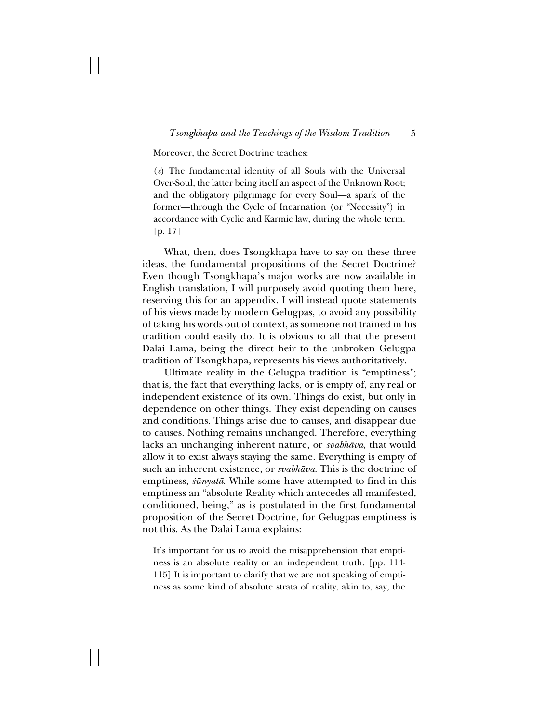Moreover, the Secret Doctrine teaches:

(*c*) The fundamental identity of all Souls with the Universal Over-Soul, the latter being itself an aspect of the Unknown Root; and the obligatory pilgrimage for every Soul—a spark of the former—through the Cycle of Incarnation (or "Necessity") in accordance with Cyclic and Karmic law, during the whole term. [p. 17]

What, then, does Tsongkhapa have to say on these three ideas, the fundamental propositions of the Secret Doctrine? Even though Tsongkhapa's major works are now available in English translation, I will purposely avoid quoting them here, reserving this for an appendix. I will instead quote statements of his views made by modern Gelugpas, to avoid any possibility of taking his words out of context, as someone not trained in his tradition could easily do. It is obvious to all that the present Dalai Lama, being the direct heir to the unbroken Gelugpa tradition of Tsongkhapa, represents his views authoritatively.

Ultimate reality in the Gelugpa tradition is "emptiness"; that is, the fact that everything lacks, or is empty of, any real or independent existence of its own. Things do exist, but only in dependence on other things. They exist depending on causes and conditions. Things arise due to causes, and disappear due to causes. Nothing remains unchanged. Therefore, everything lacks an unchanging inherent nature, or *svabhåva*, that would allow it to exist always staying the same. Everything is empty of such an inherent existence, or *svabhåva*. This is the doctrine of emptiness,  $\frac{\sin \theta}{\sinh \theta}$ . While some have attempted to find in this emptiness an "absolute Reality which antecedes all manifested, conditioned, being," as is postulated in the first fundamental proposition of the Secret Doctrine, for Gelugpas emptiness is not this. As the Dalai Lama explains:

It's important for us to avoid the misapprehension that emptiness is an absolute reality or an independent truth. [pp. 114- 115] It is important to clarify that we are not speaking of emptiness as some kind of absolute strata of reality, akin to, say, the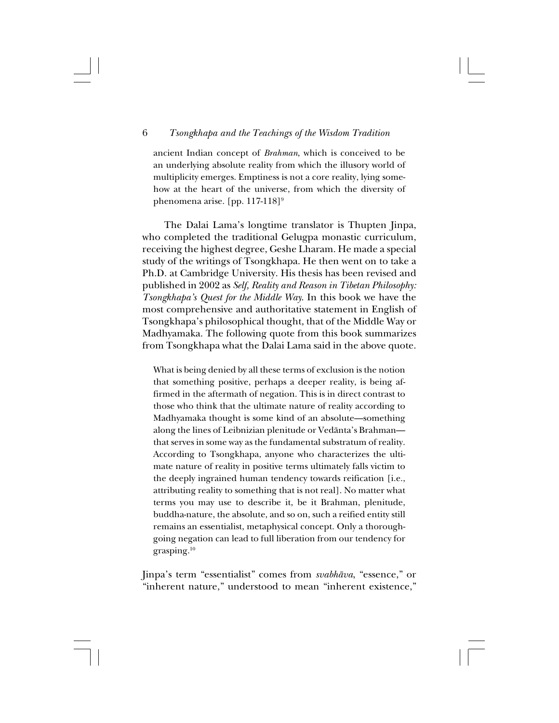ancient Indian concept of *Brahman*, which is conceived to be an underlying absolute reality from which the illusory world of multiplicity emerges. Emptiness is not a core reality, lying somehow at the heart of the universe, from which the diversity of phenomena arise. [pp. 117-118]<sup>9</sup>

The Dalai Lama's longtime translator is Thupten Jinpa, who completed the traditional Gelugpa monastic curriculum, receiving the highest degree, Geshe Lharam. He made a special study of the writings of Tsongkhapa. He then went on to take a Ph.D. at Cambridge University. His thesis has been revised and published in 2002 as *Self, Reality and Reason in Tibetan Philosophy: Tsongkhapa's Quest for the Middle Way*. In this book we have the most comprehensive and authoritative statement in English of Tsongkhapa's philosophical thought, that of the Middle Way or Madhyamaka. The following quote from this book summarizes from Tsongkhapa what the Dalai Lama said in the above quote.

What is being denied by all these terms of exclusion is the notion that something positive, perhaps a deeper reality, is being affirmed in the aftermath of negation. This is in direct contrast to those who think that the ultimate nature of reality according to Madhyamaka thought is some kind of an absolute—something along the lines of Leibnizian plenitude or Vedånta's Brahman that serves in some way as the fundamental substratum of reality. According to Tsongkhapa, anyone who characterizes the ultimate nature of reality in positive terms ultimately falls victim to the deeply ingrained human tendency towards reification [i.e., attributing reality to something that is not real]. No matter what terms you may use to describe it, be it Brahman, plenitude, buddha-nature, the absolute, and so on, such a reified entity still remains an essentialist, metaphysical concept. Only a thoroughgoing negation can lead to full liberation from our tendency for grasping.10

Jinpa's term "essentialist" comes from *svabhåva*, "essence," or "inherent nature," understood to mean "inherent existence,"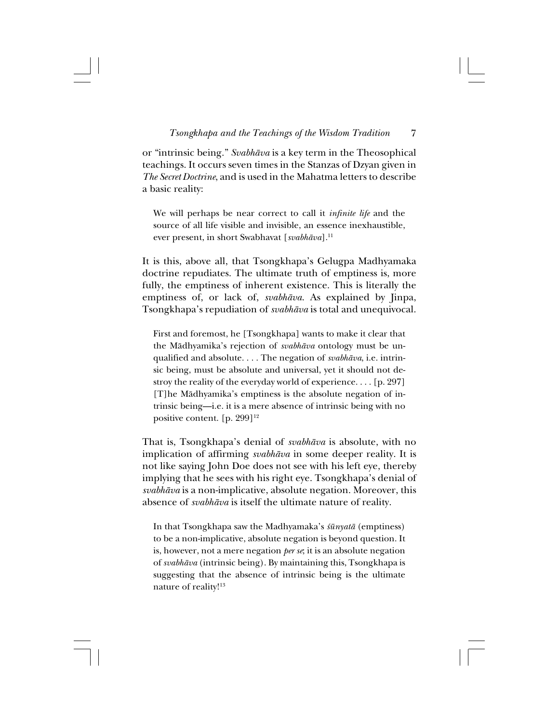or "intrinsic being." *Svabhåva* is a key term in the Theosophical teachings. It occurs seven times in the Stanzas of Dzyan given in *The Secret Doctrine*, and is used in the Mahatma letters to describe a basic reality:

We will perhaps be near correct to call it *infinite life* and the source of all life visible and invisible, an essence inexhaustible, ever present, in short Swabhavat [*svabhāva*].<sup>11</sup>

It is this, above all, that Tsongkhapa's Gelugpa Madhyamaka doctrine repudiates. The ultimate truth of emptiness is, more fully, the emptiness of inherent existence. This is literally the emptiness of, or lack of, *svabhåva*. As explained by Jinpa, Tsongkhapa's repudiation of *svabhåva* is total and unequivocal.

First and foremost, he [Tsongkhapa] wants to make it clear that the Mådhyamika's rejection of *svabhåva* ontology must be unqualified and absolute. . . . The negation of *svabhåva*, i.e. intrinsic being, must be absolute and universal, yet it should not destroy the reality of the everyday world of experience. . . . [p. 297] [T]he Mådhyamika's emptiness is the absolute negation of intrinsic being—i.e. it is a mere absence of intrinsic being with no positive content. [p. 299]<sup>12</sup>

That is, Tsongkhapa's denial of *svabhåva* is absolute, with no implication of affirming *svabhåva* in some deeper reality. It is not like saying John Doe does not see with his left eye, thereby implying that he sees with his right eye. Tsongkhapa's denial of *svabhåva* is a non-implicative, absolute negation. Moreover, this absence of *svabhåva* is itself the ultimate nature of reality.

In that Tsongkhapa saw the Madhyamaka's *≈ünyatå* (emptiness) to be a non-implicative, absolute negation is beyond question. It is, however, not a mere negation *per se*; it is an absolute negation of *svabhåva* (intrinsic being). By maintaining this, Tsongkhapa is suggesting that the absence of intrinsic being is the ultimate nature of reality!<sup>13</sup>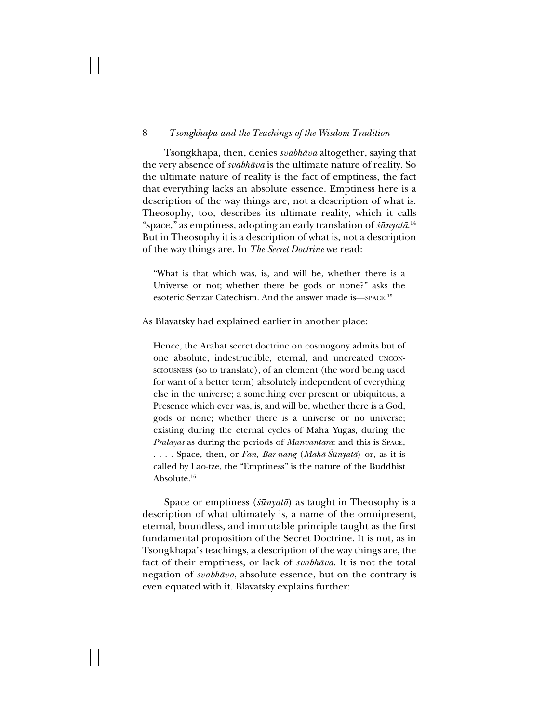Tsongkhapa, then, denies *svabhåva* altogether, saying that the very absence of *svabhåva* is the ultimate nature of reality. So the ultimate nature of reality is the fact of emptiness, the fact that everything lacks an absolute essence. Emptiness here is a description of the way things are, not a description of what is. Theosophy, too, describes its ultimate reality, which it calls "space," as emptiness, adopting an early translation of *≈ünyatå*. 14 But in Theosophy it is a description of what is, not a description of the way things are. In *The Secret Doctrine* we read:

"What is that which was, is, and will be, whether there is a Universe or not; whether there be gods or none?" asks the esoteric Senzar Catechism. And the answer made is—SPACE. 15

As Blavatsky had explained earlier in another place:

Hence, the Arahat secret doctrine on cosmogony admits but of one absolute, indestructible, eternal, and uncreated UNCON-SCIOUSNESS (so to translate), of an element (the word being used for want of a better term) absolutely independent of everything else in the universe; a something ever present or ubiquitous, a Presence which ever was, is, and will be, whether there is a God, gods or none; whether there is a universe or no universe; existing during the eternal cycles of Maha Yugas, during the *Pralayas* as during the periods of *Manvantara*: and this is SPACE, . . . . Space, then, or *Fan*, *Bar-nang* (*Mahā-Śūnyatā*) or, as it is called by Lao-tze, the "Emptiness" is the nature of the Buddhist Absolute.16

Space or emptiness (*≈ünyatå*) as taught in Theosophy is a description of what ultimately is, a name of the omnipresent, eternal, boundless, and immutable principle taught as the first fundamental proposition of the Secret Doctrine. It is not, as in Tsongkhapa's teachings, a description of the way things are, the fact of their emptiness, or lack of *svabhåva*. It is not the total negation of *svabhåva*, absolute essence, but on the contrary is even equated with it. Blavatsky explains further: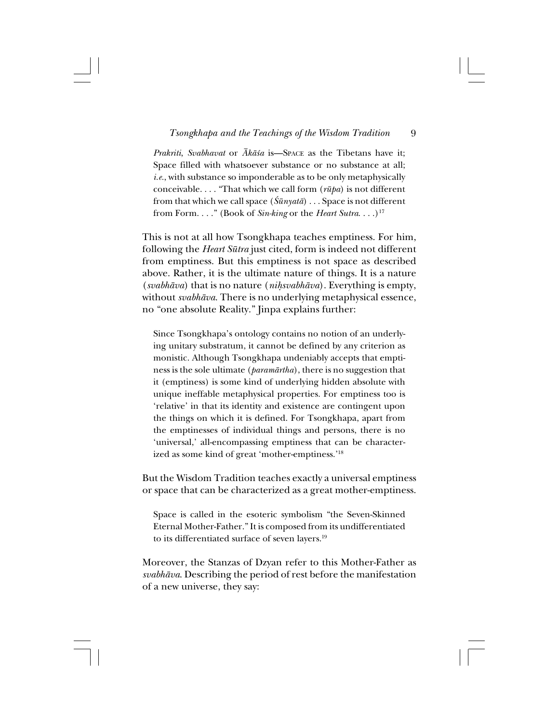*Prakriti, Svabhavat* or *Ākāśa* is—Space as the Tibetans have it; Space filled with whatsoever substance or no substance at all; *i.e.*, with substance so imponderable as to be only metaphysically conceivable. . . . "That which we call form (*rüpa*) is not different from that which we call space  $(\hat{S} \bar{u} \eta u \bar{a}) \dots S$  pace is not different from Form. . . ." (Book of *Sin-king* or the *Heart Sutra*. . . .)17

This is not at all how Tsongkhapa teaches emptiness. For him, following the *Heart Sütra* just cited, form is indeed not different from emptiness. But this emptiness is not space as described above. Rather, it is the ultimate nature of things. It is a nature (*svabhåva*) that is no nature (*ni˙svabhåva*). Everything is empty, without *svabhåva*. There is no underlying metaphysical essence, no "one absolute Reality." Jinpa explains further:

Since Tsongkhapa's ontology contains no notion of an underlying unitary substratum, it cannot be defined by any criterion as monistic. Although Tsongkhapa undeniably accepts that emptiness is the sole ultimate (*paramårtha*), there is no suggestion that it (emptiness) is some kind of underlying hidden absolute with unique ineffable metaphysical properties. For emptiness too is 'relative' in that its identity and existence are contingent upon the things on which it is defined. For Tsongkhapa, apart from the emptinesses of individual things and persons, there is no 'universal,' all-encompassing emptiness that can be characterized as some kind of great 'mother-emptiness.'18

But the Wisdom Tradition teaches exactly a universal emptiness or space that can be characterized as a great mother-emptiness.

Space is called in the esoteric symbolism "the Seven-Skinned Eternal Mother-Father." It is composed from its undifferentiated to its differentiated surface of seven layers.19

Moreover, the Stanzas of Dzyan refer to this Mother-Father as *svabhåva*. Describing the period of rest before the manifestation of a new universe, they say: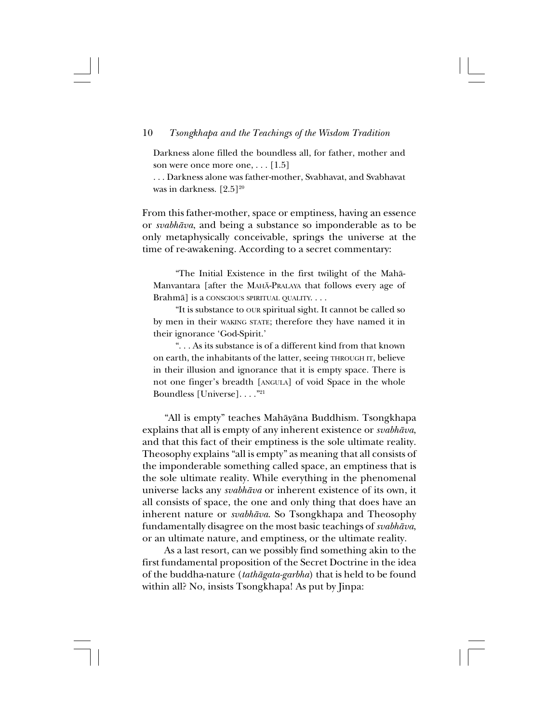Darkness alone filled the boundless all, for father, mother and son were once more one, . . . [1.5]

. . . Darkness alone was father-mother, Svabhavat, and Svabhavat was in darkness.  $[2.5]^{20}$ 

From this father-mother, space or emptiness, having an essence or *svabhåva*, and being a substance so imponderable as to be only metaphysically conceivable, springs the universe at the time of re-awakening. According to a secret commentary:

"The Initial Existence in the first twilight of the Mahå-Manvantara [after the MAHÅ-PRALAYA that follows every age of Brahmå] is a CONSCIOUS SPIRITUAL QUALITY. . . .

"It is substance to OUR spiritual sight. It cannot be called so by men in their WAKING STATE; therefore they have named it in their ignorance 'God-Spirit.'

". . . As its substance is of a different kind from that known on earth, the inhabitants of the latter, seeing THROUGH IT, believe in their illusion and ignorance that it is empty space. There is not one finger's breadth [ANGULA] of void Space in the whole Boundless [Universe]. . . ."21

"All is empty" teaches Mahåyåna Buddhism. Tsongkhapa explains that all is empty of any inherent existence or *svabhåva*, and that this fact of their emptiness is the sole ultimate reality. Theosophy explains "all is empty" as meaning that all consists of the imponderable something called space, an emptiness that is the sole ultimate reality. While everything in the phenomenal universe lacks any *svabhåva* or inherent existence of its own, it all consists of space, the one and only thing that does have an inherent nature or *svabhåva*. So Tsongkhapa and Theosophy fundamentally disagree on the most basic teachings of *svabhåva*, or an ultimate nature, and emptiness, or the ultimate reality.

As a last resort, can we possibly find something akin to the first fundamental proposition of the Secret Doctrine in the idea of the buddha-nature (*tathågata-garbha*) that is held to be found within all? No, insists Tsongkhapa! As put by Jinpa: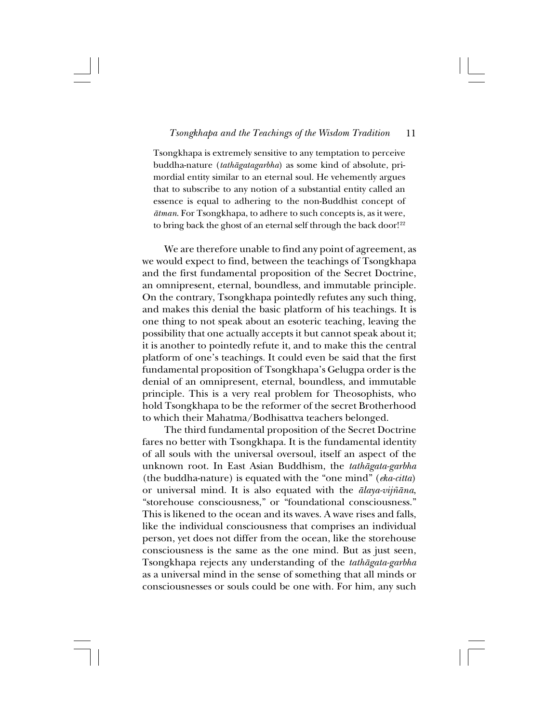Tsongkhapa is extremely sensitive to any temptation to perceive buddha-nature (*tathågatagarbha*) as some kind of absolute, primordial entity similar to an eternal soul. He vehemently argues that to subscribe to any notion of a substantial entity called an essence is equal to adhering to the non-Buddhist concept of *åtman*. For Tsongkhapa, to adhere to such concepts is, as it were, to bring back the ghost of an eternal self through the back door!<sup>22</sup>

We are therefore unable to find any point of agreement, as we would expect to find, between the teachings of Tsongkhapa and the first fundamental proposition of the Secret Doctrine, an omnipresent, eternal, boundless, and immutable principle. On the contrary, Tsongkhapa pointedly refutes any such thing, and makes this denial the basic platform of his teachings. It is one thing to not speak about an esoteric teaching, leaving the possibility that one actually accepts it but cannot speak about it; it is another to pointedly refute it, and to make this the central platform of one's teachings. It could even be said that the first fundamental proposition of Tsongkhapa's Gelugpa order is the denial of an omnipresent, eternal, boundless, and immutable principle. This is a very real problem for Theosophists, who hold Tsongkhapa to be the reformer of the secret Brotherhood to which their Mahatma/Bodhisattva teachers belonged.

The third fundamental proposition of the Secret Doctrine fares no better with Tsongkhapa. It is the fundamental identity of all souls with the universal oversoul, itself an aspect of the unknown root. In East Asian Buddhism, the *tathågata-garbha* (the buddha-nature) is equated with the "one mind" (*eka-citta*) or universal mind. It is also equated with the *ålaya-vij∆åna*, "storehouse consciousness," or "foundational consciousness." This is likened to the ocean and its waves. A wave rises and falls, like the individual consciousness that comprises an individual person, yet does not differ from the ocean, like the storehouse consciousness is the same as the one mind. But as just seen, Tsongkhapa rejects any understanding of the *tathågata-garbha* as a universal mind in the sense of something that all minds or consciousnesses or souls could be one with. For him, any such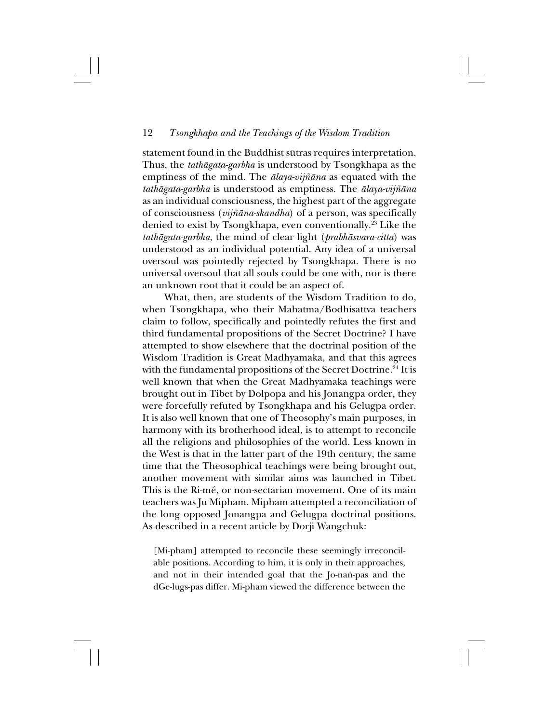statement found in the Buddhist sütras requires interpretation. Thus, the *tathågata-garbha* is understood by Tsongkhapa as the emptiness of the mind. The *ālaya-vijñāna* as equated with the *tathågata-garbha* is understood as emptiness. The *ålaya-vij∆åna* as an individual consciousness, the highest part of the aggregate of consciousness (*vijƌna-skandha*) of a person, was specifically denied to exist by Tsongkhapa, even conventionally.23 Like the *tathågata-garbha*, the mind of clear light (*prabhåsvara-citta*) was understood as an individual potential. Any idea of a universal oversoul was pointedly rejected by Tsongkhapa. There is no universal oversoul that all souls could be one with, nor is there an unknown root that it could be an aspect of.

What, then, are students of the Wisdom Tradition to do, when Tsongkhapa, who their Mahatma/Bodhisattva teachers claim to follow, specifically and pointedly refutes the first and third fundamental propositions of the Secret Doctrine? I have attempted to show elsewhere that the doctrinal position of the Wisdom Tradition is Great Madhyamaka, and that this agrees with the fundamental propositions of the Secret Doctrine.<sup>24</sup> It is well known that when the Great Madhyamaka teachings were brought out in Tibet by Dolpopa and his Jonangpa order, they were forcefully refuted by Tsongkhapa and his Gelugpa order. It is also well known that one of Theosophy's main purposes, in harmony with its brotherhood ideal, is to attempt to reconcile all the religions and philosophies of the world. Less known in the West is that in the latter part of the 19th century, the same time that the Theosophical teachings were being brought out, another movement with similar aims was launched in Tibet. This is the Ri-mé, or non-sectarian movement. One of its main teachers was Ju Mipham. Mipham attempted a reconciliation of the long opposed Jonangpa and Gelugpa doctrinal positions. As described in a recent article by Dorji Wangchuk:

[Mi-pham] attempted to reconcile these seemingly irreconcilable positions. According to him, it is only in their approaches, and not in their intended goal that the Jo-nan-pas and the dGe-lugs-pas differ. Mi-pham viewed the difference between the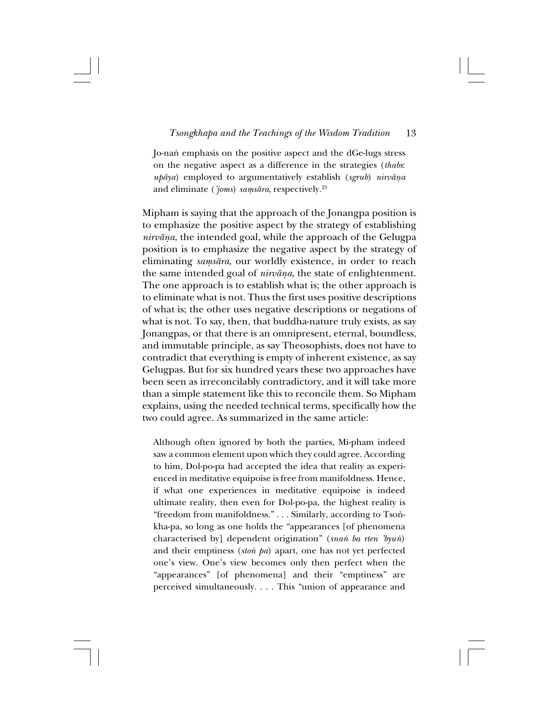Jo-na∫ emphasis on the positive aspect and the dGe-lugs stress on the negative aspect as a difference in the strategies (*thabs*: *upåya*) employed to argumentatively establish (*sgrub*) *nirvåña* and eliminate ( $\check{j}oms$ ) *samsāra*, respectively.<sup>25</sup>

Mipham is saying that the approach of the Jonangpa position is to emphasize the positive aspect by the strategy of establishing *nirvåña*, the intended goal, while the approach of the Gelugpa position is to emphasize the negative aspect by the strategy of eliminating *samsāra*, our worldly existence, in order to reach the same intended goal of *nirvåña*, the state of enlightenment. The one approach is to establish what is; the other approach is to eliminate what is not. Thus the first uses positive descriptions of what is; the other uses negative descriptions or negations of what is not. To say, then, that buddha-nature truly exists, as say Jonangpas, or that there is an omnipresent, eternal, boundless, and immutable principle, as say Theosophists, does not have to contradict that everything is empty of inherent existence, as say Gelugpas. But for six hundred years these two approaches have been seen as irreconcilably contradictory, and it will take more than a simple statement like this to reconcile them. So Mipham explains, using the needed technical terms, specifically how the two could agree. As summarized in the same article:

Although often ignored by both the parties, Mi-pham indeed saw a common element upon which they could agree. According to him, Dol-po-pa had accepted the idea that reality as experienced in meditative equipoise is free from manifoldness. Hence, if what one experiences in meditative equipoise is indeed ultimate reality, then even for Dol-po-pa, the highest reality is "freedom from manifoldness." . . . Similarly, according to Tsonkha-pa, so long as one holds the "appearances [of phenomena characterised by] dependent origination" (*sna∫ ba rten 'byu∫*) and their emptiness (*ston pa*) apart, one has not yet perfected one's view. One's view becomes only then perfect when the "appearances" [of phenomena] and their "emptiness" are perceived simultaneously. . . . This "union of appearance and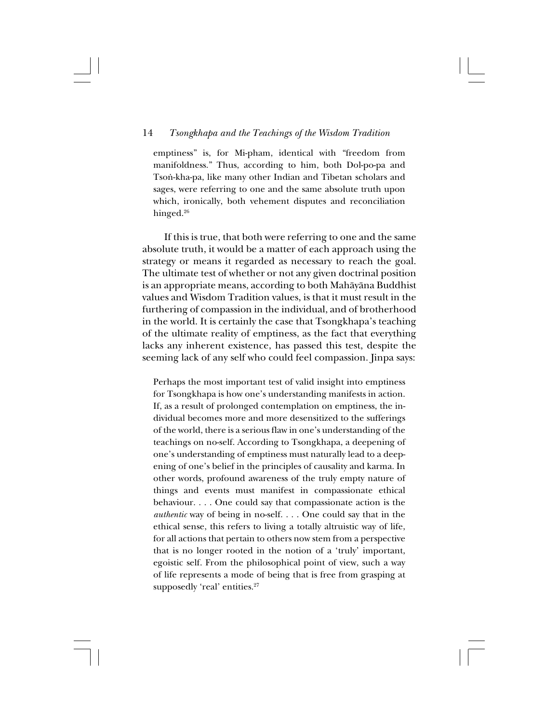emptiness" is, for Mi-pham, identical with "freedom from manifoldness." Thus, according to him, both Dol-po-pa and Tson-kha-pa, like many other Indian and Tibetan scholars and sages, were referring to one and the same absolute truth upon which, ironically, both vehement disputes and reconciliation hinged.<sup>26</sup>

If this is true, that both were referring to one and the same absolute truth, it would be a matter of each approach using the strategy or means it regarded as necessary to reach the goal. The ultimate test of whether or not any given doctrinal position is an appropriate means, according to both Mahåyåna Buddhist values and Wisdom Tradition values, is that it must result in the furthering of compassion in the individual, and of brotherhood in the world. It is certainly the case that Tsongkhapa's teaching of the ultimate reality of emptiness, as the fact that everything lacks any inherent existence, has passed this test, despite the seeming lack of any self who could feel compassion. Jinpa says:

Perhaps the most important test of valid insight into emptiness for Tsongkhapa is how one's understanding manifests in action. If, as a result of prolonged contemplation on emptiness, the individual becomes more and more desensitized to the sufferings of the world, there is a serious flaw in one's understanding of the teachings on no-self. According to Tsongkhapa, a deepening of one's understanding of emptiness must naturally lead to a deepening of one's belief in the principles of causality and karma. In other words, profound awareness of the truly empty nature of things and events must manifest in compassionate ethical behaviour. . . . One could say that compassionate action is the *authentic* way of being in no-self. . . . One could say that in the ethical sense, this refers to living a totally altruistic way of life, for all actions that pertain to others now stem from a perspective that is no longer rooted in the notion of a 'truly' important, egoistic self. From the philosophical point of view, such a way of life represents a mode of being that is free from grasping at supposedly 'real' entities.<sup>27</sup>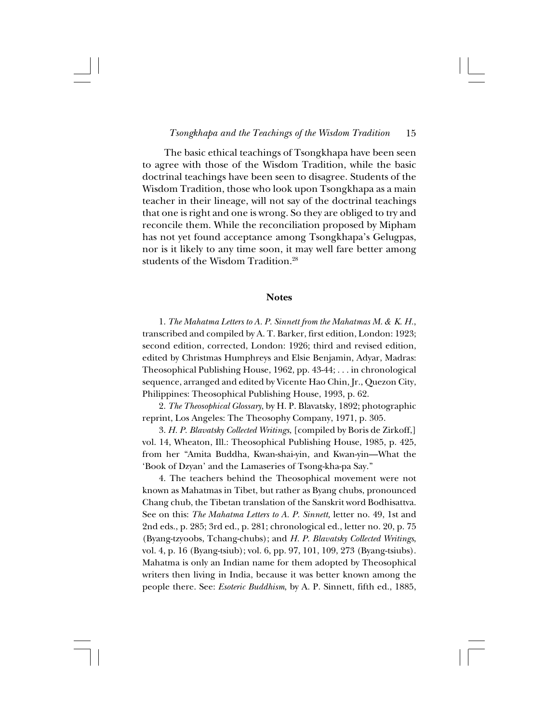The basic ethical teachings of Tsongkhapa have been seen to agree with those of the Wisdom Tradition, while the basic doctrinal teachings have been seen to disagree. Students of the Wisdom Tradition, those who look upon Tsongkhapa as a main teacher in their lineage, will not say of the doctrinal teachings that one is right and one is wrong. So they are obliged to try and reconcile them. While the reconciliation proposed by Mipham has not yet found acceptance among Tsongkhapa's Gelugpas, nor is it likely to any time soon, it may well fare better among students of the Wisdom Tradition.28

#### **Notes**

1. *The Mahatma Letters to A. P. Sinnett from the Mahatmas M. & K. H.*, transcribed and compiled by A. T. Barker, first edition, London: 1923; second edition, corrected, London: 1926; third and revised edition, edited by Christmas Humphreys and Elsie Benjamin, Adyar, Madras: Theosophical Publishing House, 1962, pp. 43-44; . . . in chronological sequence, arranged and edited by Vicente Hao Chin, Jr., Quezon City, Philippines: Theosophical Publishing House, 1993, p. 62.

2. *The Theosophical Glossary*, by H. P. Blavatsky, 1892; photographic reprint, Los Angeles: The Theosophy Company, 1971, p. 305.

3. *H. P. Blavatsky Collected Writings*, [compiled by Boris de Zirkoff,] vol. 14, Wheaton, Ill.: Theosophical Publishing House, 1985, p. 425, from her "Amita Buddha, Kwan-shai-yin, and Kwan-yin—What the 'Book of Dzyan' and the Lamaseries of Tsong-kha-pa Say."

4. The teachers behind the Theosophical movement were not known as Mahatmas in Tibet, but rather as Byang chubs, pronounced Chang chub, the Tibetan translation of the Sanskrit word Bodhisattva. See on this: *The Mahatma Letters to A. P. Sinnett,* letter no. 49, 1st and 2nd eds., p. 285; 3rd ed., p. 281; chronological ed., letter no. 20, p. 75 (Byang-tzyoobs, Tchang-chubs); and *H. P. Blavatsky Collected Writings*, vol. 4, p. 16 (Byang-tsiub); vol. 6, pp. 97, 101, 109, 273 (Byang-tsiubs). Mahatma is only an Indian name for them adopted by Theosophical writers then living in India, because it was better known among the people there. See: *Esoteric Buddhism*, by A. P. Sinnett, fifth ed., 1885,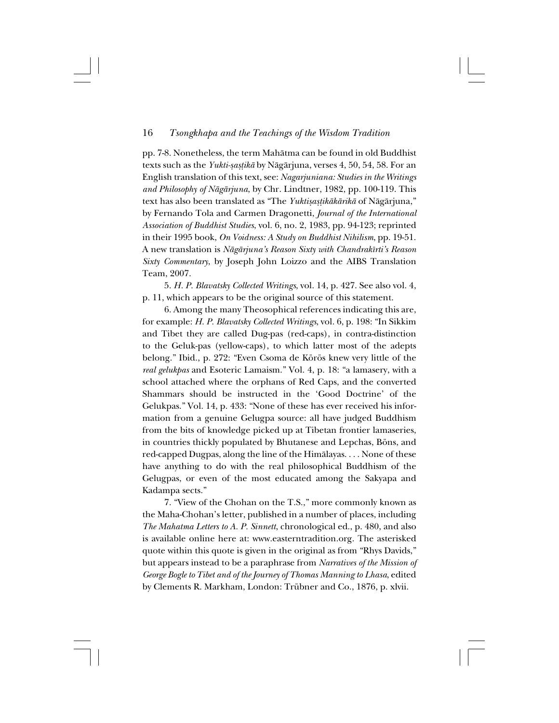pp. 7-8. Nonetheless, the term Mahåtma can be found in old Buddhist texts such as the *Yukti-șașțikā* by Nāgārjuna, verses 4, 50, 54, 58. For an English translation of this text, see: *Nagarjuniana: Studies in the Writings and Philosophy of Någårjuna*, by Chr. Lindtner, 1982, pp. 100-119. This text has also been translated as "The *Yuktisastikākārikā* of Nāgārjuna," by Fernando Tola and Carmen Dragonetti, *Journal of the International Association of Buddhist Studies*, vol. 6, no. 2, 1983, pp. 94-123; reprinted in their 1995 book, *On Voidness: A Study on Buddhist Nihilism*, pp. 19-51. A new translation is *Någårjuna's Reason Sixty with Chandrakîrti's Reason Sixty Commentary*, by Joseph John Loizzo and the AIBS Translation Team, 2007.

5. *H. P. Blavatsky Collected Writings*, vol. 14, p. 427. See also vol. 4, p. 11, which appears to be the original source of this statement.

6. Among the many Theosophical references indicating this are, for example: *H. P. Blavatsky Collected Writings*, vol. 6, p. 198: "In Sikkim and Tibet they are called Dug-pas (red-caps), in contra-distinction to the Geluk-pas (yellow-caps), to which latter most of the adepts belong." Ibid., p. 272: "Even Csoma de Körös knew very little of the *real gelukpas* and Esoteric Lamaism." Vol. 4, p. 18: "a lamasery, with a school attached where the orphans of Red Caps, and the converted Shammars should be instructed in the 'Good Doctrine' of the Gelukpas." Vol. 14, p. 433: "None of these has ever received his information from a genuine Gelugpa source: all have judged Buddhism from the bits of knowledge picked up at Tibetan frontier lamaseries, in countries thickly populated by Bhutanese and Lepchas, Böns, and red-capped Dugpas, along the line of the Himålayas. . . . None of these have anything to do with the real philosophical Buddhism of the Gelugpas, or even of the most educated among the Sakyapa and Kadampa sects."

7. "View of the Chohan on the T.S.," more commonly known as the Maha-Chohan's letter, published in a number of places, including *The Mahatma Letters to A. P. Sinnett*, chronological ed., p. 480, and also is available online here at: www.easterntradition.org. The asterisked quote within this quote is given in the original as from "Rhys Davids," but appears instead to be a paraphrase from *Narratives of the Mission of George Bogle to Tibet and of the Journey of Thomas Manning to Lhasa*, edited by Clements R. Markham, London: Trübner and Co., 1876, p. xlvii.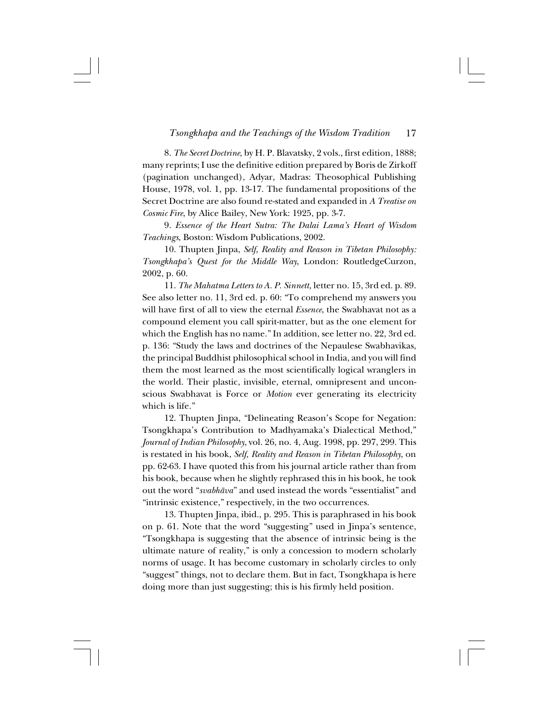8. *The Secret Doctrine*, by H. P. Blavatsky, 2 vols., first edition, 1888; many reprints; I use the definitive edition prepared by Boris de Zirkoff (pagination unchanged), Adyar, Madras: Theosophical Publishing House, 1978, vol. 1, pp. 13-17. The fundamental propositions of the Secret Doctrine are also found re-stated and expanded in *A Treatise on Cosmic Fire*, by Alice Bailey, New York: 1925, pp. 3-7.

9. *Essence of the Heart Sutra: The Dalai Lama's Heart of Wisdom Teachings*, Boston: Wisdom Publications, 2002.

10. Thupten Jinpa, *Self, Reality and Reason in Tibetan Philosophy: Tsongkhapa's Quest for the Middle Way*, London: RoutledgeCurzon, 2002, p. 60.

11. *The Mahatma Letters to A. P. Sinnett,* letter no. 15, 3rd ed. p. 89. See also letter no. 11, 3rd ed. p. 60: "To comprehend my answers you will have first of all to view the eternal *Essence*, the Swabhavat not as a compound element you call spirit-matter, but as the one element for which the English has no name." In addition, see letter no. 22, 3rd ed. p. 136: "Study the laws and doctrines of the Nepaulese Swabhavikas, the principal Buddhist philosophical school in India, and you will find them the most learned as the most scientifically logical wranglers in the world. Their plastic, invisible, eternal, omnipresent and unconscious Swabhavat is Force or *Motion* ever generating its electricity which is life."

12. Thupten Jinpa, "Delineating Reason's Scope for Negation: Tsongkhapa's Contribution to Madhyamaka's Dialectical Method," *Journal of Indian Philosophy*, vol. 26, no. 4, Aug. 1998, pp. 297, 299. This is restated in his book, *Self, Reality and Reason in Tibetan Philosophy*, on pp. 62-63. I have quoted this from his journal article rather than from his book, because when he slightly rephrased this in his book, he took out the word "*svabhåva*" and used instead the words "essentialist" and "intrinsic existence," respectively, in the two occurrences.

13. Thupten Jinpa, ibid., p. 295. This is paraphrased in his book on p. 61. Note that the word "suggesting" used in Jinpa's sentence, "Tsongkhapa is suggesting that the absence of intrinsic being is the ultimate nature of reality," is only a concession to modern scholarly norms of usage. It has become customary in scholarly circles to only "suggest" things, not to declare them. But in fact, Tsongkhapa is here doing more than just suggesting; this is his firmly held position.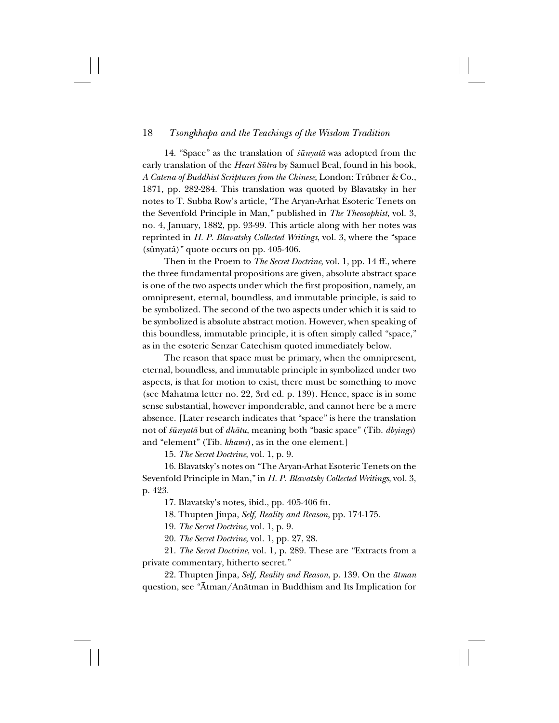14. "Space" as the translation of *śūnyatā* was adopted from the early translation of the *Heart Sütra* by Samuel Beal, found in his book, *A Catena of Buddhist Scriptures from the Chinese*, London: Trübner & Co., 1871, pp. 282-284. This translation was quoted by Blavatsky in her notes to T. Subba Row's article, "The Aryan-Arhat Esoteric Tenets on the Sevenfold Principle in Man," published in *The Theosophist*, vol. 3, no. 4, January, 1882, pp. 93-99. This article along with her notes was reprinted in *H. P. Blavatsky Collected Writings*, vol. 3, where the "space (sûnyatâ)" quote occurs on pp. 405-406.

Then in the Proem to *The Secret Doctrine*, vol. 1, pp. 14 ff., where the three fundamental propositions are given, absolute abstract space is one of the two aspects under which the first proposition, namely, an omnipresent, eternal, boundless, and immutable principle, is said to be symbolized. The second of the two aspects under which it is said to be symbolized is absolute abstract motion. However, when speaking of this boundless, immutable principle, it is often simply called "space," as in the esoteric Senzar Catechism quoted immediately below.

The reason that space must be primary, when the omnipresent, eternal, boundless, and immutable principle in symbolized under two aspects, is that for motion to exist, there must be something to move (see Mahatma letter no. 22, 3rd ed. p. 139). Hence, space is in some sense substantial, however imponderable, and cannot here be a mere absence. [Later research indicates that "space" is here the translation not of *≈ünyatå* but of *dhåtu*, meaning both "basic space" (Tib. *dbyings*) and "element" (Tib. *khams*), as in the one element.]

15. *The Secret Doctrine*, vol. 1, p. 9.

16. Blavatsky's notes on "The Aryan-Arhat Esoteric Tenets on the Sevenfold Principle in Man," in *H. P. Blavatsky Collected Writings*, vol. 3, p. 423.

17. Blavatsky's notes, ibid., pp. 405-406 fn.

18. Thupten Jinpa, *Self, Reality and Reason*, pp. 174-175.

19. *The Secret Doctrine*, vol. 1, p. 9.

20. *The Secret Doctrine*, vol. 1, pp. 27, 28.

21. *The Secret Doctrine*, vol. 1, p. 289. These are "Extracts from a private commentary, hitherto secret."

22. Thupten Jinpa, *Self, Reality and Reason*, p. 139. On the *åtman* question, see "Åtman/Anåtman in Buddhism and Its Implication for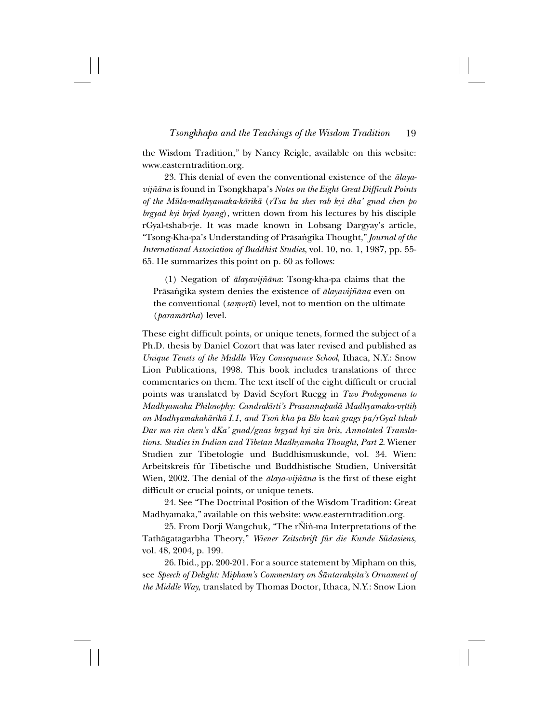the Wisdom Tradition," by Nancy Reigle, available on this website: www.easterntradition.org.

23. This denial of even the conventional existence of the *ålayavijƌna* is found in Tsongkhapa's *Notes on the Eight Great Difficult Points of the Müla-madhyamaka-kårikå* (*rTsa ba shes rab kyi dka' gnad chen po brgyad kyi brjed byang*), written down from his lectures by his disciple rGyal-tshab-rje. It was made known in Lobsang Dargyay's article, "Tsong-Kha-pa's Understanding of Pråsa∫gika Thought," *Journal of the International Association of Buddhist Studies*, vol. 10, no. 1, 1987, pp. 55- 65. He summarizes this point on p. 60 as follows:

(1) Negation of *ålayavij∆åna*: Tsong-kha-pa claims that the Prāsaṅgika system denies the existence of *ālayavijñāna* even on the conventional (*samvrti*) level, not to mention on the ultimate (*paramårtha*) level.

These eight difficult points, or unique tenets, formed the subject of a Ph.D. thesis by Daniel Cozort that was later revised and published as *Unique Tenets of the Middle Way Consequence School*, Ithaca, N.Y.: Snow Lion Publications, 1998. This book includes translations of three commentaries on them. The text itself of the eight difficult or crucial points was translated by David Seyfort Ruegg in *Two Prolegomena to Madhyamaka Philosophy: Candrakīrti's Prasannapadā Madhyamaka-vrttih on Madhyamakakårikå I.1, and Tso∫ kha pa Blo bza∫ grags pa/rGyal tshab Dar ma rin chen's dKa' gnad/gnas brgyad kyi zin bris, Annotated Translations. Studies in Indian and Tibetan Madhyamaka Thought, Part 2*. Wiener Studien zur Tibetologie und Buddhismuskunde, vol. 34. Wien: Arbeitskreis für Tibetische und Buddhistische Studien, Universität Wien, 2002. The denial of the *ālaya-vijñāna* is the first of these eight difficult or crucial points, or unique tenets.

24. See "The Doctrinal Position of the Wisdom Tradition: Great Madhyamaka," available on this website: www.easterntradition.org.

25. From Dorji Wangchuk, "The rÑin-ma Interpretations of the Tathågatagarbha Theory," *Wiener Zeitschrift für die Kunde Südasiens*, vol. 48, 2004, p. 199.

26. Ibid., pp. 200-201. For a source statement by Mipham on this, see *Speech of Delight: Mipham's Commentary on Śāntarakṣita's Ornament of the Middle Way*, translated by Thomas Doctor, Ithaca, N.Y.: Snow Lion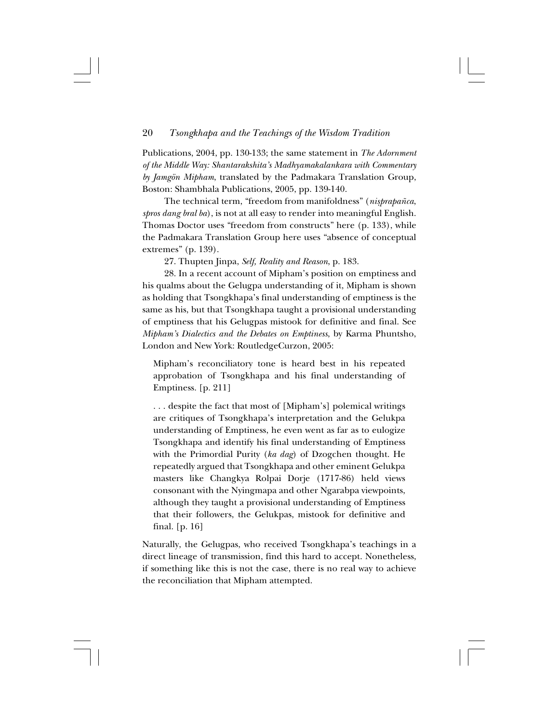Publications, 2004, pp. 130-133; the same statement in *The Adornment of the Middle Way: Shantarakshita's Madhyamakalankara with Commentary by Jamgön Mipham*, translated by the Padmakara Translation Group, Boston: Shambhala Publications, 2005, pp. 139-140.

The technical term, "freedom from manifoldness" (nisprapañca, *spros dang bral ba*), is not at all easy to render into meaningful English. Thomas Doctor uses "freedom from constructs" here (p. 133), while the Padmakara Translation Group here uses "absence of conceptual extremes" (p. 139).

27. Thupten Jinpa, *Self, Reality and Reason*, p. 183.

28. In a recent account of Mipham's position on emptiness and his qualms about the Gelugpa understanding of it, Mipham is shown as holding that Tsongkhapa's final understanding of emptiness is the same as his, but that Tsongkhapa taught a provisional understanding of emptiness that his Gelugpas mistook for definitive and final. See *Mipham's Dialectics and the Debates on Emptiness*, by Karma Phuntsho, London and New York: RoutledgeCurzon, 2005:

Mipham's reconciliatory tone is heard best in his repeated approbation of Tsongkhapa and his final understanding of Emptiness. [p. 211]

. . . despite the fact that most of [Mipham's] polemical writings are critiques of Tsongkhapa's interpretation and the Gelukpa understanding of Emptiness, he even went as far as to eulogize Tsongkhapa and identify his final understanding of Emptiness with the Primordial Purity (*ka dag*) of Dzogchen thought. He repeatedly argued that Tsongkhapa and other eminent Gelukpa masters like Changkya Rolpai Dorje (1717-86) held views consonant with the Nyingmapa and other Ngarabpa viewpoints, although they taught a provisional understanding of Emptiness that their followers, the Gelukpas, mistook for definitive and final. [p. 16]

Naturally, the Gelugpas, who received Tsongkhapa's teachings in a direct lineage of transmission, find this hard to accept. Nonetheless, if something like this is not the case, there is no real way to achieve the reconciliation that Mipham attempted.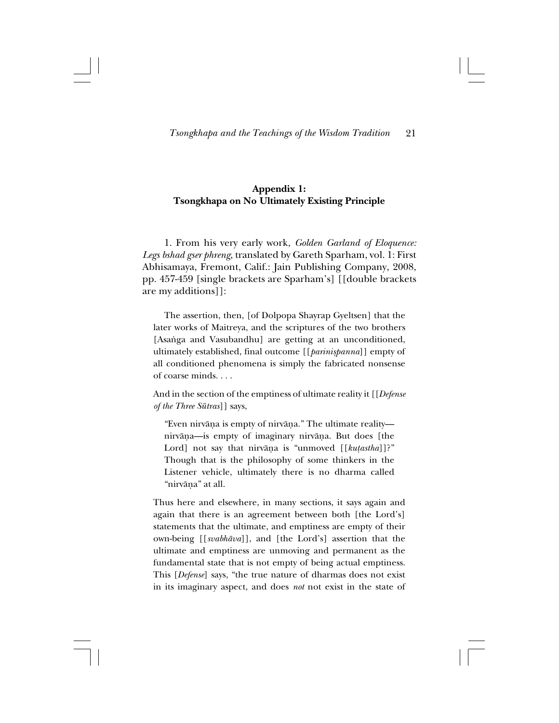# **Appendix 1: Tsongkhapa on No Ultimately Existing Principle**

1. From his very early work, *Golden Garland of Eloquence: Legs bshad gser phreng*, translated by Gareth Sparham, vol. 1: First Abhisamaya, Fremont, Calif.: Jain Publishing Company, 2008, pp. 457-459 [single brackets are Sparham's] [[double brackets are my additions]]:

The assertion, then, [of Dolpopa Shayrap Gyeltsen] that the later works of Maitreya, and the scriptures of the two brothers [Asanga and Vasubandhu] are getting at an unconditioned, ultimately established, final outcome [[*parinißpanna*]] empty of all conditioned phenomena is simply the fabricated nonsense of coarse minds. . . .

And in the section of the emptiness of ultimate reality it [[*Defense of the Three Sütras*]] says,

"Even nirvåña is empty of nirvåña." The ultimate reality nirvåña—is empty of imaginary nirvåña. But does [the Lord] not say that nirvāṇa is "unmoved [[*kuṭastha*]]?" Though that is the philosophy of some thinkers in the Listener vehicle, ultimately there is no dharma called "nirvåña" at all.

Thus here and elsewhere, in many sections, it says again and again that there is an agreement between both [the Lord's] statements that the ultimate, and emptiness are empty of their own-being [[*svabhåva*]], and [the Lord's] assertion that the ultimate and emptiness are unmoving and permanent as the fundamental state that is not empty of being actual emptiness. This [*Defense*] says, "the true nature of dharmas does not exist in its imaginary aspect, and does *not* not exist in the state of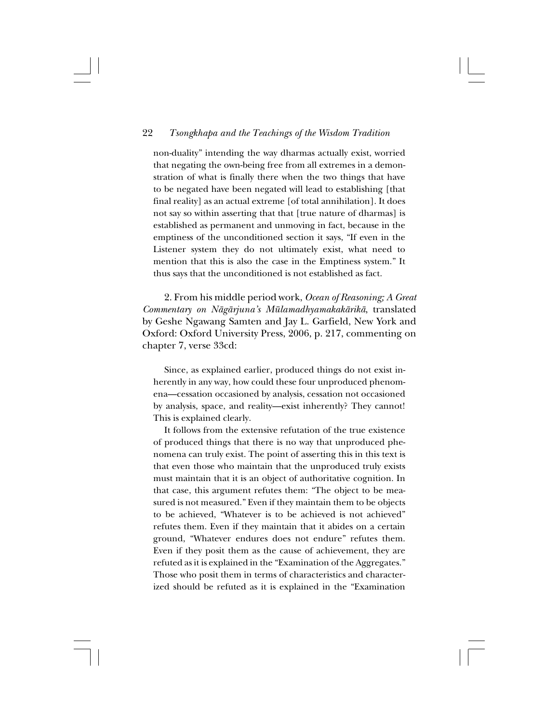non-duality" intending the way dharmas actually exist, worried that negating the own-being free from all extremes in a demonstration of what is finally there when the two things that have to be negated have been negated will lead to establishing [that final reality] as an actual extreme [of total annihilation]. It does not say so within asserting that that [true nature of dharmas] is established as permanent and unmoving in fact, because in the emptiness of the unconditioned section it says, "If even in the Listener system they do not ultimately exist, what need to mention that this is also the case in the Emptiness system." It thus says that the unconditioned is not established as fact.

2. From his middle period work, *Ocean of Reasoning; A Great Commentary on Någårjuna's Mülamadhyamakakårikå*, translated by Geshe Ngawang Samten and Jay L. Garfield, New York and Oxford: Oxford University Press, 2006, p. 217, commenting on chapter 7, verse 33cd:

Since, as explained earlier, produced things do not exist inherently in any way, how could these four unproduced phenomena—cessation occasioned by analysis, cessation not occasioned by analysis, space, and reality—exist inherently? They cannot! This is explained clearly.

It follows from the extensive refutation of the true existence of produced things that there is no way that unproduced phenomena can truly exist. The point of asserting this in this text is that even those who maintain that the unproduced truly exists must maintain that it is an object of authoritative cognition. In that case, this argument refutes them: "The object to be measured is not measured." Even if they maintain them to be objects to be achieved, "Whatever is to be achieved is not achieved" refutes them. Even if they maintain that it abides on a certain ground, "Whatever endures does not endure" refutes them. Even if they posit them as the cause of achievement, they are refuted as it is explained in the "Examination of the Aggregates." Those who posit them in terms of characteristics and characterized should be refuted as it is explained in the "Examination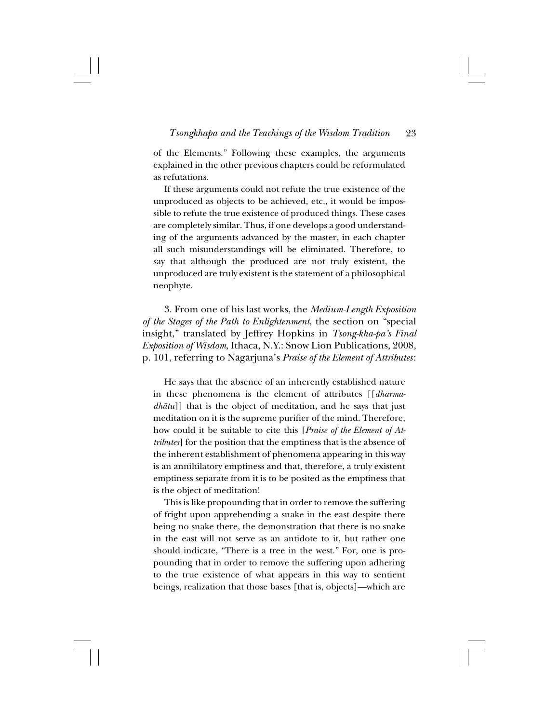of the Elements." Following these examples, the arguments explained in the other previous chapters could be reformulated as refutations.

If these arguments could not refute the true existence of the unproduced as objects to be achieved, etc., it would be impossible to refute the true existence of produced things. These cases are completely similar. Thus, if one develops a good understanding of the arguments advanced by the master, in each chapter all such misunderstandings will be eliminated. Therefore, to say that although the produced are not truly existent, the unproduced are truly existent is the statement of a philosophical neophyte.

3. From one of his last works, the *Medium-Length Exposition of the Stages of the Path to Enlightenment*, the section on "special insight," translated by Jeffrey Hopkins in *Tsong-kha-pa's Final Exposition of Wisdom*, Ithaca, N.Y.: Snow Lion Publications, 2008, p. 101, referring to Någårjuna's *Praise of the Element of Attributes*:

He says that the absence of an inherently established nature in these phenomena is the element of attributes [[*dharmadhåtu*]] that is the object of meditation, and he says that just meditation on it is the supreme purifier of the mind. Therefore, how could it be suitable to cite this [*Praise of the Element of Attributes*] for the position that the emptiness that is the absence of the inherent establishment of phenomena appearing in this way is an annihilatory emptiness and that, therefore, a truly existent emptiness separate from it is to be posited as the emptiness that is the object of meditation!

This is like propounding that in order to remove the suffering of fright upon apprehending a snake in the east despite there being no snake there, the demonstration that there is no snake in the east will not serve as an antidote to it, but rather one should indicate, "There is a tree in the west." For, one is propounding that in order to remove the suffering upon adhering to the true existence of what appears in this way to sentient beings, realization that those bases [that is, objects]—which are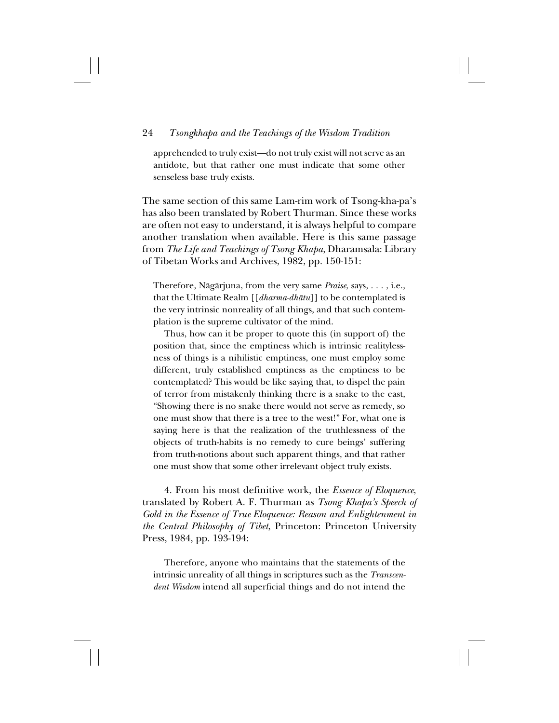apprehended to truly exist—do not truly exist will not serve as an antidote, but that rather one must indicate that some other senseless base truly exists.

The same section of this same Lam-rim work of Tsong-kha-pa's has also been translated by Robert Thurman. Since these works are often not easy to understand, it is always helpful to compare another translation when available. Here is this same passage from *The Life and Teachings of Tsong Khapa*, Dharamsala: Library of Tibetan Works and Archives, 1982, pp. 150-151:

Therefore, Någårjuna, from the very same *Praise*, says, . . . , i.e., that the Ultimate Realm [[*dharma-dhåtu*]] to be contemplated is the very intrinsic nonreality of all things, and that such contemplation is the supreme cultivator of the mind.

Thus, how can it be proper to quote this (in support of) the position that, since the emptiness which is intrinsic realitylessness of things is a nihilistic emptiness, one must employ some different, truly established emptiness as the emptiness to be contemplated? This would be like saying that, to dispel the pain of terror from mistakenly thinking there is a snake to the east, "Showing there is no snake there would not serve as remedy, so one must show that there is a tree to the west!" For, what one is saying here is that the realization of the truthlessness of the objects of truth-habits is no remedy to cure beings' suffering from truth-notions about such apparent things, and that rather one must show that some other irrelevant object truly exists.

4. From his most definitive work, the *Essence of Eloquence*, translated by Robert A. F. Thurman as *Tsong Khapa's Speech of Gold in the Essence of True Eloquence: Reason and Enlightenment in the Central Philosophy of Tibet*, Princeton: Princeton University Press, 1984, pp. 193-194:

Therefore, anyone who maintains that the statements of the intrinsic unreality of all things in scriptures such as the *Transcendent Wisdom* intend all superficial things and do not intend the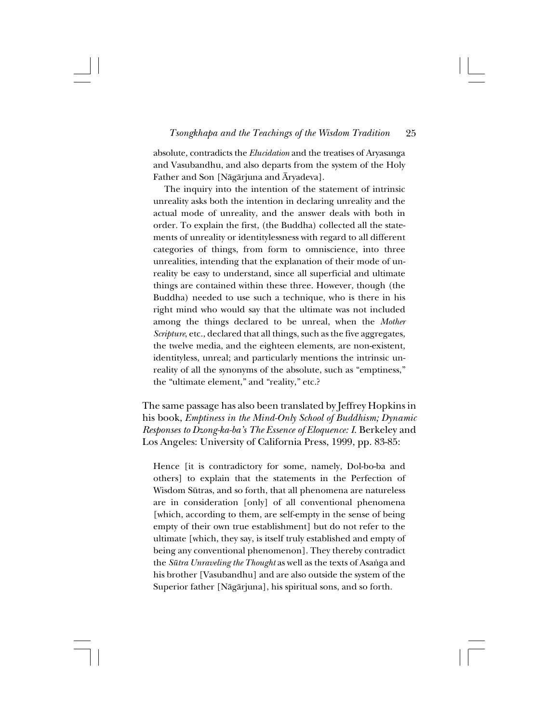absolute, contradicts the *Elucidation* and the treatises of Aryasanga and Vasubandhu, and also departs from the system of the Holy Father and Son [Någårjuna and Åryadeva].

The inquiry into the intention of the statement of intrinsic unreality asks both the intention in declaring unreality and the actual mode of unreality, and the answer deals with both in order. To explain the first, (the Buddha) collected all the statements of unreality or identitylessness with regard to all different categories of things, from form to omniscience, into three unrealities, intending that the explanation of their mode of unreality be easy to understand, since all superficial and ultimate things are contained within these three. However, though (the Buddha) needed to use such a technique, who is there in his right mind who would say that the ultimate was not included among the things declared to be unreal, when the *Mother Scripture*, etc., declared that all things, such as the five aggregates, the twelve media, and the eighteen elements, are non-existent, identityless, unreal; and particularly mentions the intrinsic unreality of all the synonyms of the absolute, such as "emptiness," the "ultimate element," and "reality," etc.?

The same passage has also been translated by Jeffrey Hopkins in his book, *Emptiness in the Mind-Only School of Buddhism; Dynamic Responses to Dzong-ka-ba's The Essence of Eloquence: I*. Berkeley and Los Angeles: University of California Press, 1999, pp. 83-85:

Hence [it is contradictory for some, namely, Dol-bo-ba and others] to explain that the statements in the Perfection of Wisdom Sütras, and so forth, that all phenomena are natureless are in consideration [only] of all conventional phenomena [which, according to them, are self-empty in the sense of being empty of their own true establishment] but do not refer to the ultimate [which, they say, is itself truly established and empty of being any conventional phenomenon]. They thereby contradict the *Sūtra Unraveling the Thought* as well as the texts of Asanga and his brother [Vasubandhu] and are also outside the system of the Superior father [Någårjuna], his spiritual sons, and so forth.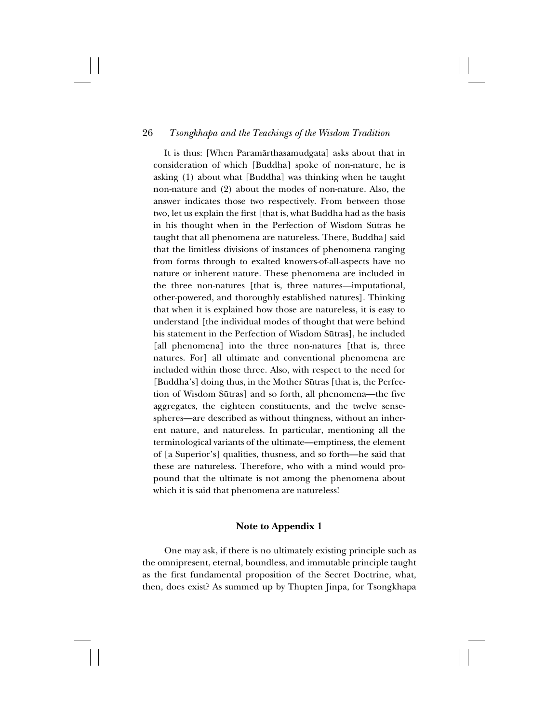It is thus: [When Paramårthasamudgata] asks about that in consideration of which [Buddha] spoke of non-nature, he is asking (1) about what [Buddha] was thinking when he taught non-nature and (2) about the modes of non-nature. Also, the answer indicates those two respectively. From between those two, let us explain the first [that is, what Buddha had as the basis in his thought when in the Perfection of Wisdom Sütras he taught that all phenomena are natureless. There, Buddha] said that the limitless divisions of instances of phenomena ranging from forms through to exalted knowers-of-all-aspects have no nature or inherent nature. These phenomena are included in the three non-natures [that is, three natures—imputational, other-powered, and thoroughly established natures]. Thinking that when it is explained how those are natureless, it is easy to understand [the individual modes of thought that were behind his statement in the Perfection of Wisdom Sütras], he included [all phenomena] into the three non-natures [that is, three natures. For] all ultimate and conventional phenomena are included within those three. Also, with respect to the need for [Buddha's] doing thus, in the Mother Sütras [that is, the Perfection of Wisdom Sütras] and so forth, all phenomena—the five aggregates, the eighteen constituents, and the twelve sensespheres—are described as without thingness, without an inherent nature, and natureless. In particular, mentioning all the terminological variants of the ultimate—emptiness, the element of [a Superior's] qualities, thusness, and so forth—he said that these are natureless. Therefore, who with a mind would propound that the ultimate is not among the phenomena about which it is said that phenomena are natureless!

# **Note to Appendix 1**

One may ask, if there is no ultimately existing principle such as the omnipresent, eternal, boundless, and immutable principle taught as the first fundamental proposition of the Secret Doctrine, what, then, does exist? As summed up by Thupten Jinpa, for Tsongkhapa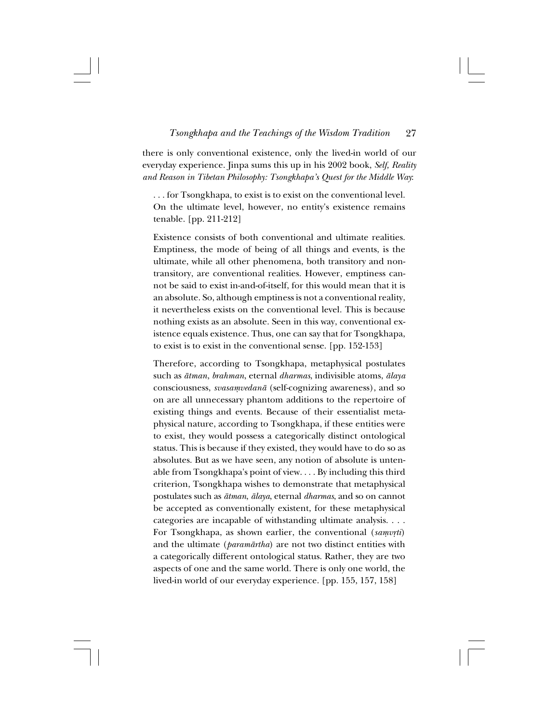there is only conventional existence, only the lived-in world of our everyday experience. Jinpa sums this up in his 2002 book, *Self, Reality and Reason in Tibetan Philosophy: Tsongkhapa's Quest for the Middle Way*:

. . . for Tsongkhapa, to exist is to exist on the conventional level. On the ultimate level, however, no entity's existence remains tenable. [pp. 211-212]

Existence consists of both conventional and ultimate realities. Emptiness, the mode of being of all things and events, is the ultimate, while all other phenomena, both transitory and nontransitory, are conventional realities. However, emptiness cannot be said to exist in-and-of-itself, for this would mean that it is an absolute. So, although emptiness is not a conventional reality, it nevertheless exists on the conventional level. This is because nothing exists as an absolute. Seen in this way, conventional existence equals existence. Thus, one can say that for Tsongkhapa, to exist is to exist in the conventional sense. [pp. 152-153]

Therefore, according to Tsongkhapa, metaphysical postulates such as *åtman*, *brahman*, eternal *dharmas*, indivisible atoms, *ålaya* consciousness, *svasamvedanā* (self-cognizing awareness), and so on are all unnecessary phantom additions to the repertoire of existing things and events. Because of their essentialist metaphysical nature, according to Tsongkhapa, if these entities were to exist, they would possess a categorically distinct ontological status. This is because if they existed, they would have to do so as absolutes. But as we have seen, any notion of absolute is untenable from Tsongkhapa's point of view. . . . By including this third criterion, Tsongkhapa wishes to demonstrate that metaphysical postulates such as *åtman*, *ålaya*, eternal *dharmas*, and so on cannot be accepted as conventionally existent, for these metaphysical categories are incapable of withstanding ultimate analysis. . . . For Tsongkhapa, as shown earlier, the conventional (samvrti) and the ultimate (*paramårtha*) are not two distinct entities with a categorically different ontological status. Rather, they are two aspects of one and the same world. There is only one world, the lived-in world of our everyday experience. [pp. 155, 157, 158]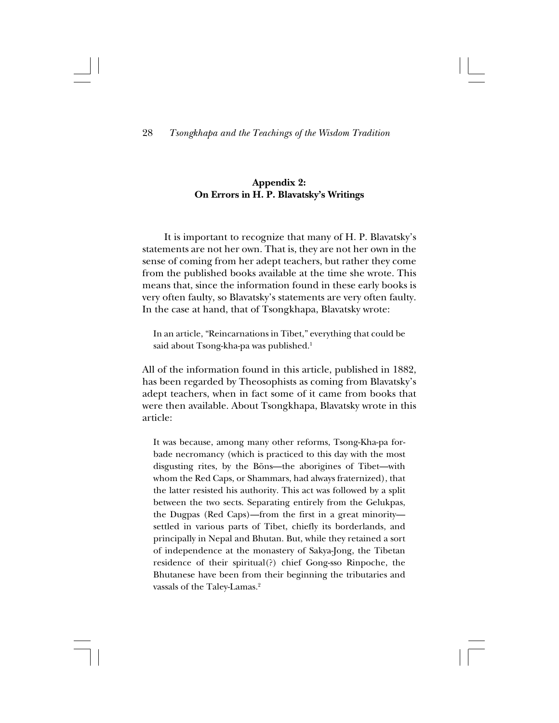# **Appendix 2: On Errors in H. P. Blavatsky's Writings**

It is important to recognize that many of H. P. Blavatsky's statements are not her own. That is, they are not her own in the sense of coming from her adept teachers, but rather they come from the published books available at the time she wrote. This means that, since the information found in these early books is very often faulty, so Blavatsky's statements are very often faulty. In the case at hand, that of Tsongkhapa, Blavatsky wrote:

In an article, "Reincarnations in Tibet," everything that could be said about Tsong-kha-pa was published.<sup>1</sup>

All of the information found in this article, published in 1882, has been regarded by Theosophists as coming from Blavatsky's adept teachers, when in fact some of it came from books that were then available. About Tsongkhapa, Blavatsky wrote in this article:

It was because, among many other reforms, Tsong-Kha-pa forbade necromancy (which is practiced to this day with the most disgusting rites, by the Böns—the aborigines of Tibet—with whom the Red Caps, or Shammars, had always fraternized), that the latter resisted his authority. This act was followed by a split between the two sects. Separating entirely from the Gelukpas, the Dugpas (Red Caps)—from the first in a great minority settled in various parts of Tibet, chiefly its borderlands, and principally in Nepal and Bhutan. But, while they retained a sort of independence at the monastery of Sakya-Jong, the Tibetan residence of their spiritual(?) chief Gong-sso Rinpoche, the Bhutanese have been from their beginning the tributaries and vassals of the Taley-Lamas.<sup>2</sup>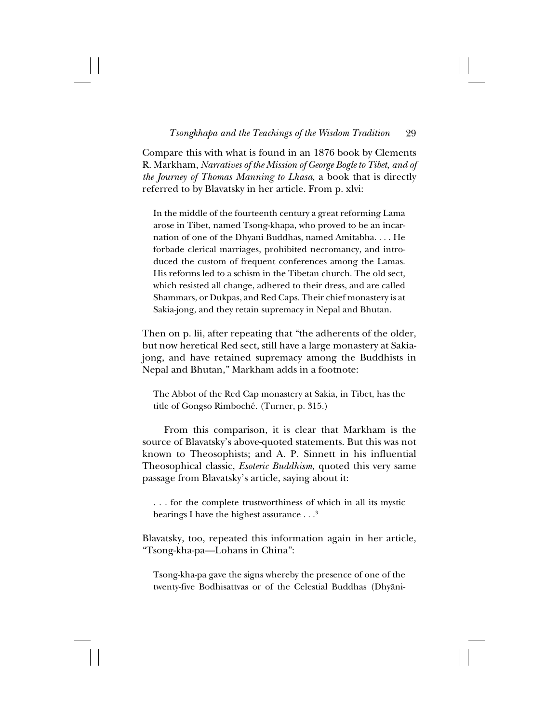Compare this with what is found in an 1876 book by Clements R. Markham, *Narratives of the Mission of George Bogle to Tibet, and of the Journey of Thomas Manning to Lhasa*, a book that is directly referred to by Blavatsky in her article. From p. xlvi:

In the middle of the fourteenth century a great reforming Lama arose in Tibet, named Tsong-khapa, who proved to be an incarnation of one of the Dhyani Buddhas, named Amitabha. . . . He forbade clerical marriages, prohibited necromancy, and introduced the custom of frequent conferences among the Lamas. His reforms led to a schism in the Tibetan church. The old sect, which resisted all change, adhered to their dress, and are called Shammars, or Dukpas, and Red Caps. Their chief monastery is at Sakia-jong, and they retain supremacy in Nepal and Bhutan.

Then on p. lii, after repeating that "the adherents of the older, but now heretical Red sect, still have a large monastery at Sakiajong, and have retained supremacy among the Buddhists in Nepal and Bhutan," Markham adds in a footnote:

The Abbot of the Red Cap monastery at Sakia, in Tibet, has the title of Gongso Rimboché. (Turner, p. 315.)

From this comparison, it is clear that Markham is the source of Blavatsky's above-quoted statements. But this was not known to Theosophists; and A. P. Sinnett in his influential Theosophical classic, *Esoteric Buddhism*, quoted this very same passage from Blavatsky's article, saying about it:

. . . for the complete trustworthiness of which in all its mystic bearings I have the highest assurance  $\ldots$ <sup>3</sup>

Blavatsky, too, repeated this information again in her article, "Tsong-kha-pa—Lohans in China":

Tsong-kha-pa gave the signs whereby the presence of one of the twenty-five Bodhisattvas or of the Celestial Buddhas (Dhyåni-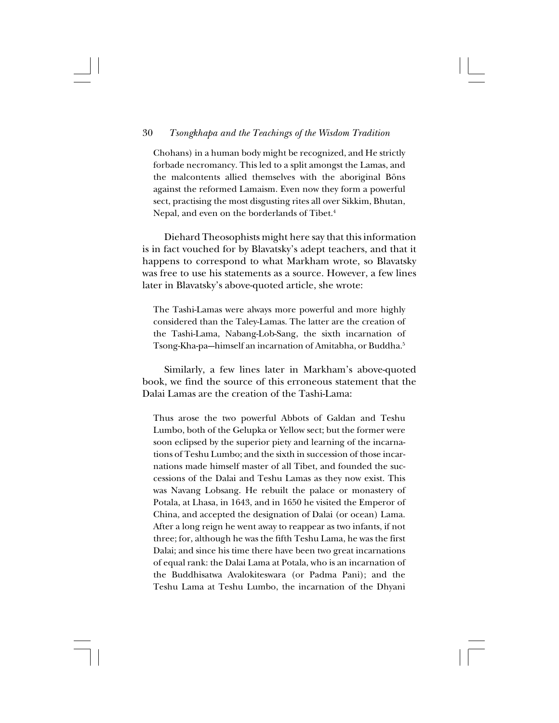Chohans) in a human body might be recognized, and He strictly forbade necromancy. This led to a split amongst the Lamas, and the malcontents allied themselves with the aboriginal Böns against the reformed Lamaism. Even now they form a powerful sect, practising the most disgusting rites all over Sikkim, Bhutan, Nepal, and even on the borderlands of Tibet.<sup>4</sup>

Diehard Theosophists might here say that this information is in fact vouched for by Blavatsky's adept teachers, and that it happens to correspond to what Markham wrote, so Blavatsky was free to use his statements as a source. However, a few lines later in Blavatsky's above-quoted article, she wrote:

The Tashi-Lamas were always more powerful and more highly considered than the Taley-Lamas. The latter are the creation of the Tashi-Lama, Nabang-Lob-Sang, the sixth incarnation of Tsong-Kha-pa--himself an incarnation of Amitabha, or Buddha.<sup>5</sup>

Similarly, a few lines later in Markham's above-quoted book, we find the source of this erroneous statement that the Dalai Lamas are the creation of the Tashi-Lama:

Thus arose the two powerful Abbots of Galdan and Teshu Lumbo, both of the Gelupka or Yellow sect; but the former were soon eclipsed by the superior piety and learning of the incarnations of Teshu Lumbo; and the sixth in succession of those incarnations made himself master of all Tibet, and founded the successions of the Dalai and Teshu Lamas as they now exist. This was Navang Lobsang. He rebuilt the palace or monastery of Potala, at Lhasa, in 1643, and in 1650 he visited the Emperor of China, and accepted the designation of Dalai (or ocean) Lama. After a long reign he went away to reappear as two infants, if not three; for, although he was the fifth Teshu Lama, he was the first Dalai; and since his time there have been two great incarnations of equal rank: the Dalai Lama at Potala, who is an incarnation of the Buddhisatwa Avalokiteswara (or Padma Pani); and the Teshu Lama at Teshu Lumbo, the incarnation of the Dhyani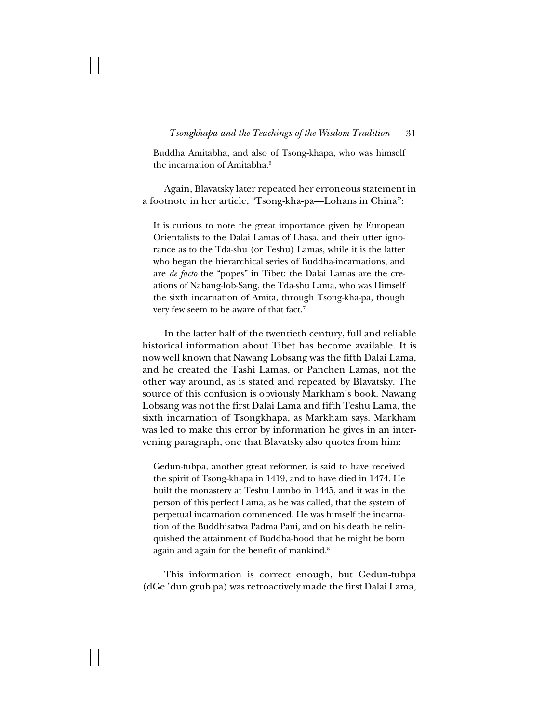Buddha Amitabha, and also of Tsong-khapa, who was himself the incarnation of Amitabha<sup>6</sup>

Again, Blavatsky later repeated her erroneous statement in a footnote in her article, "Tsong-kha-pa—Lohans in China":

It is curious to note the great importance given by European Orientalists to the Dalai Lamas of Lhasa, and their utter ignorance as to the Tda-shu (or Teshu) Lamas, while it is the latter who began the hierarchical series of Buddha-incarnations, and are *de facto* the "popes" in Tibet: the Dalai Lamas are the creations of Nabang-lob-Sang, the Tda-shu Lama, who was Himself the sixth incarnation of Amita, through Tsong-kha-pa, though very few seem to be aware of that fact.7

In the latter half of the twentieth century, full and reliable historical information about Tibet has become available. It is now well known that Nawang Lobsang was the fifth Dalai Lama, and he created the Tashi Lamas, or Panchen Lamas, not the other way around, as is stated and repeated by Blavatsky. The source of this confusion is obviously Markham's book. Nawang Lobsang was not the first Dalai Lama and fifth Teshu Lama, the sixth incarnation of Tsongkhapa, as Markham says. Markham was led to make this error by information he gives in an intervening paragraph, one that Blavatsky also quotes from him:

Gedun-tubpa, another great reformer, is said to have received the spirit of Tsong-khapa in 1419, and to have died in 1474. He built the monastery at Teshu Lumbo in 1445, and it was in the person of this perfect Lama, as he was called, that the system of perpetual incarnation commenced. He was himself the incarnation of the Buddhisatwa Padma Pani, and on his death he relinquished the attainment of Buddha-hood that he might be born again and again for the benefit of mankind.<sup>8</sup>

This information is correct enough, but Gedun-tubpa (dGe 'dun grub pa) was retroactively made the first Dalai Lama,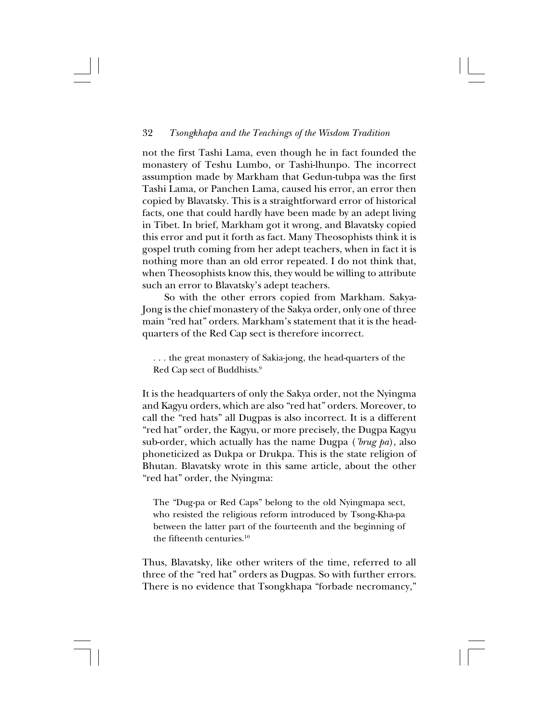not the first Tashi Lama, even though he in fact founded the monastery of Teshu Lumbo, or Tashi-lhunpo. The incorrect assumption made by Markham that Gedun-tubpa was the first Tashi Lama, or Panchen Lama, caused his error, an error then copied by Blavatsky. This is a straightforward error of historical facts, one that could hardly have been made by an adept living in Tibet. In brief, Markham got it wrong, and Blavatsky copied this error and put it forth as fact. Many Theosophists think it is gospel truth coming from her adept teachers, when in fact it is nothing more than an old error repeated. I do not think that, when Theosophists know this, they would be willing to attribute such an error to Blavatsky's adept teachers.

So with the other errors copied from Markham. Sakya-Jong is the chief monastery of the Sakya order, only one of three main "red hat" orders. Markham's statement that it is the headquarters of the Red Cap sect is therefore incorrect.

. . . the great monastery of Sakia-jong, the head-quarters of the Red Cap sect of Buddhists.9

It is the headquarters of only the Sakya order, not the Nyingma and Kagyu orders, which are also "red hat" orders. Moreover, to call the "red hats" all Dugpas is also incorrect. It is a different "red hat" order, the Kagyu, or more precisely, the Dugpa Kagyu sub-order, which actually has the name Dugpa (*'brug pa*), also phoneticized as Dukpa or Drukpa. This is the state religion of Bhutan. Blavatsky wrote in this same article, about the other "red hat" order, the Nyingma:

The "Dug-pa or Red Caps" belong to the old Nyingmapa sect, who resisted the religious reform introduced by Tsong-Kha-pa between the latter part of the fourteenth and the beginning of the fifteenth centuries.10

Thus, Blavatsky, like other writers of the time, referred to all three of the "red hat" orders as Dugpas. So with further errors. There is no evidence that Tsongkhapa "forbade necromancy,"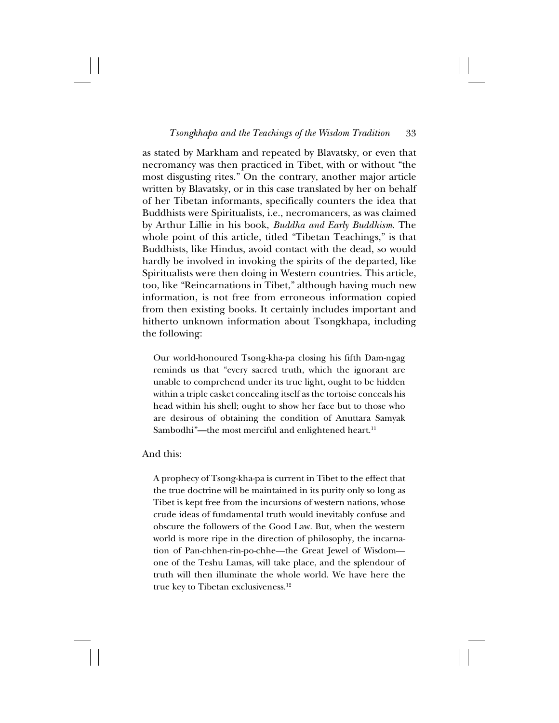as stated by Markham and repeated by Blavatsky, or even that necromancy was then practiced in Tibet, with or without "the most disgusting rites." On the contrary, another major article written by Blavatsky, or in this case translated by her on behalf of her Tibetan informants, specifically counters the idea that Buddhists were Spiritualists, i.e., necromancers, as was claimed by Arthur Lillie in his book, *Buddha and Early Buddhism*. The whole point of this article, titled "Tibetan Teachings," is that Buddhists, like Hindus, avoid contact with the dead, so would hardly be involved in invoking the spirits of the departed, like Spiritualists were then doing in Western countries. This article, too, like "Reincarnations in Tibet," although having much new information, is not free from erroneous information copied from then existing books. It certainly includes important and hitherto unknown information about Tsongkhapa, including the following:

Our world-honoured Tsong-kha-pa closing his fifth Dam-ngag reminds us that "every sacred truth, which the ignorant are unable to comprehend under its true light, ought to be hidden within a triple casket concealing itself as the tortoise conceals his head within his shell; ought to show her face but to those who are desirous of obtaining the condition of Anuttara Samyak Sambodhi"—the most merciful and enlightened heart.<sup>11</sup>

# And this:

A prophecy of Tsong-kha-pa is current in Tibet to the effect that the true doctrine will be maintained in its purity only so long as Tibet is kept free from the incursions of western nations, whose crude ideas of fundamental truth would inevitably confuse and obscure the followers of the Good Law. But, when the western world is more ripe in the direction of philosophy, the incarnation of Pan-chhen-rin-po-chhe—the Great Jewel of Wisdom one of the Teshu Lamas, will take place, and the splendour of truth will then illuminate the whole world. We have here the true key to Tibetan exclusiveness.<sup>12</sup>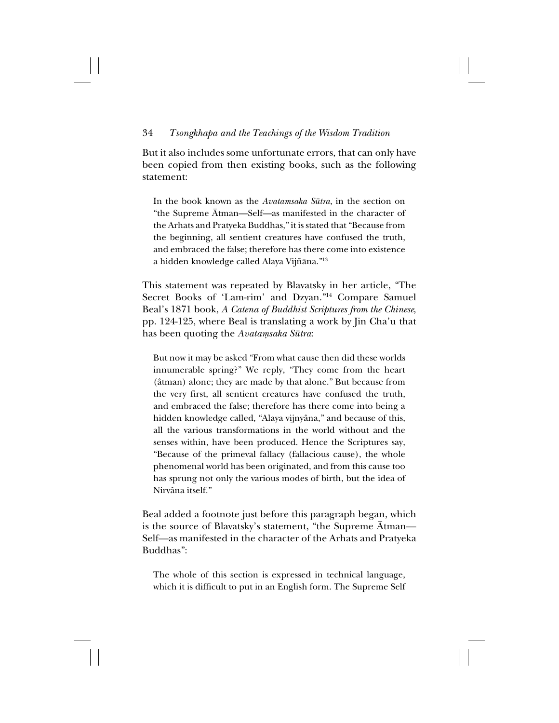But it also includes some unfortunate errors, that can only have been copied from then existing books, such as the following statement:

In the book known as the *Avatamsaka Sütra*, in the section on "the Supreme Åtman—Self—as manifested in the character of the Arhats and Pratyeka Buddhas," it is stated that "Because from the beginning, all sentient creatures have confused the truth, and embraced the false; therefore has there come into existence a hidden knowledge called Alaya Vijñāna."<sup>13</sup>

This statement was repeated by Blavatsky in her article, "The Secret Books of 'Lam-rim' and Dzyan."14 Compare Samuel Beal's 1871 book, *A Catena of Buddhist Scriptures from the Chinese*, pp. 124-125, where Beal is translating a work by Jin Cha'u that has been quoting the *Avatamsaka Sūtra*:

But now it may be asked "From what cause then did these worlds innumerable spring?" We reply, "They come from the heart (âtman) alone; they are made by that alone." But because from the very first, all sentient creatures have confused the truth, and embraced the false; therefore has there come into being a hidden knowledge called, "Alaya vijnyâna," and because of this, all the various transformations in the world without and the senses within, have been produced. Hence the Scriptures say, "Because of the primeval fallacy (fallacious cause), the whole phenomenal world has been originated, and from this cause too has sprung not only the various modes of birth, but the idea of Nirvâna itself."

Beal added a footnote just before this paragraph began, which is the source of Blavatsky's statement, "the Supreme Åtman— Self—as manifested in the character of the Arhats and Pratyeka Buddhas":

The whole of this section is expressed in technical language, which it is difficult to put in an English form. The Supreme Self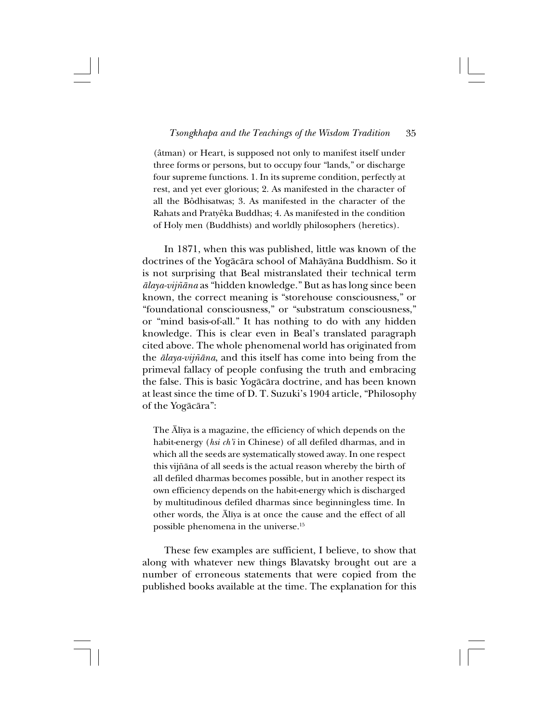(âtman) or Heart, is supposed not only to manifest itself under three forms or persons, but to occupy four "lands," or discharge four supreme functions. 1. In its supreme condition, perfectly at rest, and yet ever glorious; 2. As manifested in the character of all the Bôdhisatwas; 3. As manifested in the character of the Rahats and Pratyêka Buddhas; 4. As manifested in the condition of Holy men (Buddhists) and worldly philosophers (heretics).

In 1871, when this was published, little was known of the doctrines of the Yogåcåra school of Mahåyåna Buddhism. So it is not surprising that Beal mistranslated their technical term *ålaya-vij∆åna* as "hidden knowledge." But as has long since been known, the correct meaning is "storehouse consciousness," or "foundational consciousness," or "substratum consciousness," or "mind basis-of-all." It has nothing to do with any hidden knowledge. This is clear even in Beal's translated paragraph cited above. The whole phenomenal world has originated from the *ålaya-vij∆åna*, and this itself has come into being from the primeval fallacy of people confusing the truth and embracing the false. This is basic Yogåcåra doctrine, and has been known at least since the time of D. T. Suzuki's 1904 article, "Philosophy of the Yogåcåra":

The Ålîya is a magazine, the efficiency of which depends on the habit-energy (*hsi ch'i* in Chinese) of all defiled dharmas, and in which all the seeds are systematically stowed away. In one respect this vijñāna of all seeds is the actual reason whereby the birth of all defiled dharmas becomes possible, but in another respect its own efficiency depends on the habit-energy which is discharged by multitudinous defiled dharmas since beginningless time. In other words, the Ålîya is at once the cause and the effect of all possible phenomena in the universe.15

These few examples are sufficient, I believe, to show that along with whatever new things Blavatsky brought out are a number of erroneous statements that were copied from the published books available at the time. The explanation for this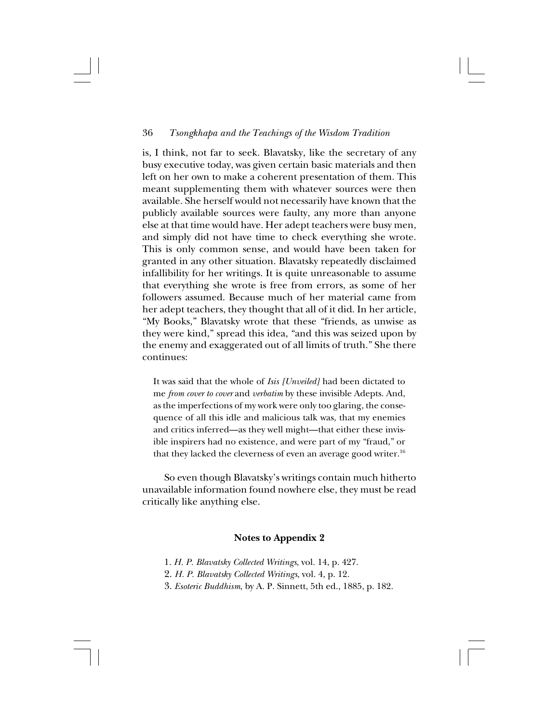is, I think, not far to seek. Blavatsky, like the secretary of any busy executive today, was given certain basic materials and then left on her own to make a coherent presentation of them. This meant supplementing them with whatever sources were then available. She herself would not necessarily have known that the publicly available sources were faulty, any more than anyone else at that time would have. Her adept teachers were busy men, and simply did not have time to check everything she wrote. This is only common sense, and would have been taken for granted in any other situation. Blavatsky repeatedly disclaimed infallibility for her writings. It is quite unreasonable to assume that everything she wrote is free from errors, as some of her followers assumed. Because much of her material came from her adept teachers, they thought that all of it did. In her article, "My Books," Blavatsky wrote that these "friends, as unwise as they were kind," spread this idea, "and this was seized upon by the enemy and exaggerated out of all limits of truth." She there continues:

It was said that the whole of *Isis [Unveiled]* had been dictated to me *from cover to cover* and *verbatim* by these invisible Adepts. And, as the imperfections of my work were only too glaring, the consequence of all this idle and malicious talk was, that my enemies and critics inferred—as they well might—that either these invisible inspirers had no existence, and were part of my "fraud," or that they lacked the cleverness of even an average good writer.<sup>16</sup>

So even though Blavatsky's writings contain much hitherto unavailable information found nowhere else, they must be read critically like anything else.

# **Notes to Appendix 2**

- 1. *H. P. Blavatsky Collected Writings*, vol. 14, p. 427.
- 2. *H. P. Blavatsky Collected Writings*, vol. 4, p. 12.
- 3. *Esoteric Buddhism*, by A. P. Sinnett, 5th ed., 1885, p. 182.